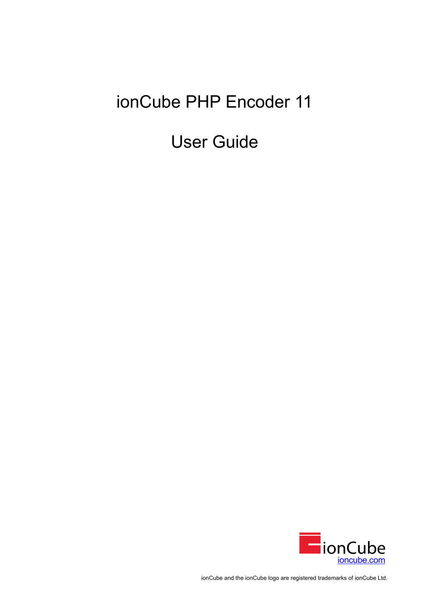# ionCube PHP Encoder 11

User Guide



ionCube and the ionCube logo are registered trademarks of ionCube Ltd.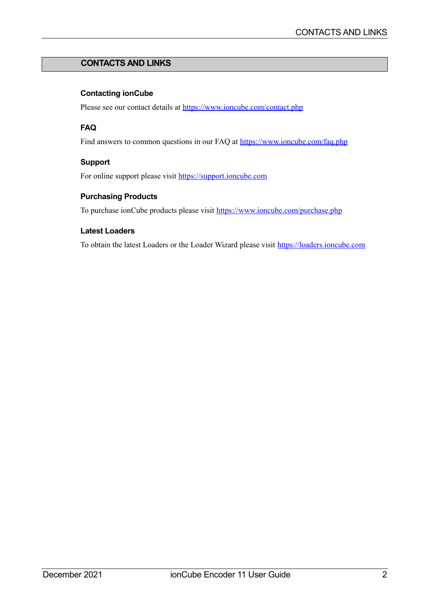# **CONTACTS AND LINKS**

# **Contacting ionCube**

Please see our contact details at<https://www.ioncube.com/contact.php>

# **FAQ**

Find answers to common questions in our FAQ at<https://www.ioncube.com/faq.php>

# **Support**

For online support please visit [https://support.ioncube.com](https://support.ioncube.com/)

# **Purchasing Products**

To purchase ionCube products please visit<https://www.ioncube.com/purchase.php>

## **Latest Loaders**

To obtain the latest Loaders or the Loader Wizard please visit [https://loaders.ioncube.com](https://loaders.ioncube.com/)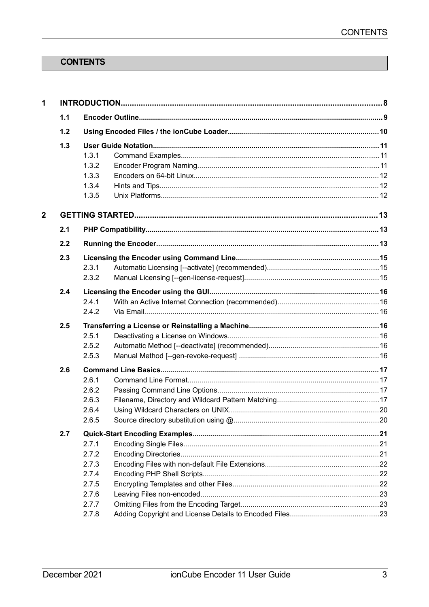# <span id="page-2-12"></span><span id="page-2-11"></span>**CONTENTS**

<span id="page-2-10"></span><span id="page-2-9"></span><span id="page-2-8"></span><span id="page-2-7"></span><span id="page-2-6"></span><span id="page-2-5"></span><span id="page-2-4"></span><span id="page-2-3"></span><span id="page-2-2"></span><span id="page-2-1"></span><span id="page-2-0"></span>

| $\mathbf{1}$   |     |                                                                      |  |
|----------------|-----|----------------------------------------------------------------------|--|
|                | 1.1 |                                                                      |  |
|                | 1.2 |                                                                      |  |
|                | 1.3 | 1.3.1<br>1.3.2<br>1.3.3<br>1.3.4<br>1.3.5                            |  |
| $\overline{2}$ |     |                                                                      |  |
|                | 2.1 |                                                                      |  |
|                | 2.2 |                                                                      |  |
|                | 2.3 | 2.3.1<br>2.3.2                                                       |  |
|                | 2.4 | 2.4.1<br>2.4.2                                                       |  |
|                | 2.5 | 2.5.1<br>2.5.2<br>2.5.3                                              |  |
|                | 2.6 | 2.6.1<br>2.6.2<br>2.6.3<br>2.6.4<br>2.6.5                            |  |
|                | 2.7 | 2.7.1<br>2.7.2<br>2.7.3<br>2.7.4<br>2.7.5<br>2.7.6<br>2.7.7<br>2.7.8 |  |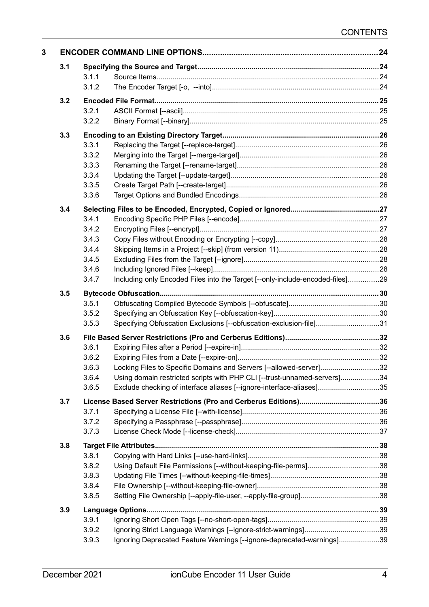<span id="page-3-2"></span><span id="page-3-1"></span><span id="page-3-0"></span>

| 3.1 |                |                                                                               |  |
|-----|----------------|-------------------------------------------------------------------------------|--|
|     | 3.1.1          |                                                                               |  |
|     | 3.1.2          |                                                                               |  |
| 3.2 |                |                                                                               |  |
|     | 3.2.1          |                                                                               |  |
|     | 3.2.2          |                                                                               |  |
| 3.3 |                |                                                                               |  |
|     | 3.3.1          |                                                                               |  |
|     | 3.3.2          |                                                                               |  |
|     | 3.3.3          |                                                                               |  |
|     | 3.3.4          |                                                                               |  |
|     | 3.3.5          |                                                                               |  |
|     | 3.3.6          |                                                                               |  |
| 3.4 |                |                                                                               |  |
|     | 3.4.1          |                                                                               |  |
|     | 3.4.2          |                                                                               |  |
|     | 3.4.3          |                                                                               |  |
|     | 3.4.4          |                                                                               |  |
|     | 3.4.5          |                                                                               |  |
|     | 3.4.6          |                                                                               |  |
|     | 3.4.7          | Including only Encoded Files into the Target [--only-include-encoded-files]29 |  |
| 3.5 |                |                                                                               |  |
|     | 3.5.1          |                                                                               |  |
|     | 3.5.2          |                                                                               |  |
|     | 3.5.3          | Specifying Obfuscation Exclusions [--obfuscation-exclusion-file]31            |  |
| 3.6 |                |                                                                               |  |
|     | 3.6.1          |                                                                               |  |
|     | 3.6.2          |                                                                               |  |
|     | 3.6.3          | Locking Files to Specific Domains and Servers [--allowed-server]32            |  |
|     | 3.6.4          | Using domain restricted scripts with PHP CLI [--trust-unnamed-servers]34      |  |
|     | 3.6.5          | Exclude checking of interface aliases [--ignore-interface-aliases]35          |  |
| 3.7 |                |                                                                               |  |
|     | 3.7.1          |                                                                               |  |
|     | 3.7.2          |                                                                               |  |
|     | 3.7.3          |                                                                               |  |
| 3.8 |                |                                                                               |  |
|     | 3.8.1          |                                                                               |  |
|     | 3.8.2          | Using Default File Permissions [--without-keeping-file-perms]38               |  |
|     | 3.8.3          |                                                                               |  |
|     | 3.8.4          |                                                                               |  |
|     | 3.8.5          |                                                                               |  |
|     |                |                                                                               |  |
| 3.9 |                |                                                                               |  |
|     | 3.9.1<br>3.9.2 |                                                                               |  |
|     | 3.9.3          | Ignoring Deprecated Feature Warnings [--ignore-deprecated-warnings]39         |  |
|     |                |                                                                               |  |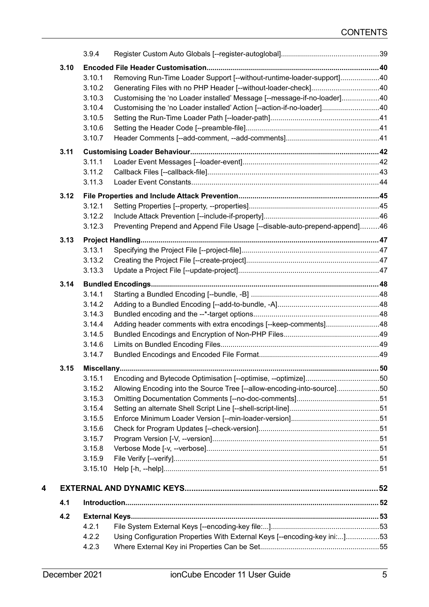<span id="page-4-10"></span><span id="page-4-9"></span><span id="page-4-8"></span><span id="page-4-7"></span><span id="page-4-6"></span><span id="page-4-5"></span><span id="page-4-4"></span><span id="page-4-3"></span><span id="page-4-2"></span><span id="page-4-1"></span><span id="page-4-0"></span>

|   |      | 3.9.4   |                                                                            |  |
|---|------|---------|----------------------------------------------------------------------------|--|
|   | 3.10 |         |                                                                            |  |
|   |      | 3.10.1  | Removing Run-Time Loader Support [--without-runtime-loader-support]40      |  |
|   |      | 3.10.2  | Generating Files with no PHP Header [--without-loader-check]40             |  |
|   |      | 3.10.3  | Customising the 'no Loader installed' Message [--message-if-no-loader]40   |  |
|   |      | 3.10.4  | Customising the 'no Loader installed' Action [--action-if-no-loader]40     |  |
|   |      | 3.10.5  |                                                                            |  |
|   |      | 3.10.6  |                                                                            |  |
|   |      | 3.10.7  |                                                                            |  |
|   | 3.11 |         |                                                                            |  |
|   |      | 3.11.1  |                                                                            |  |
|   |      | 3.11.2  |                                                                            |  |
|   |      | 3.11.3  |                                                                            |  |
|   | 3.12 |         |                                                                            |  |
|   |      | 3.12.1  |                                                                            |  |
|   |      | 3.12.2  |                                                                            |  |
|   |      | 3.12.3  | Preventing Prepend and Append File Usage [--disable-auto-prepend-append]46 |  |
|   | 3.13 |         |                                                                            |  |
|   |      | 3.13.1  |                                                                            |  |
|   |      | 3.13.2  |                                                                            |  |
|   |      | 3.13.3  |                                                                            |  |
|   | 3.14 |         |                                                                            |  |
|   |      | 3.14.1  |                                                                            |  |
|   |      | 3.14.2  |                                                                            |  |
|   |      | 3.14.3  |                                                                            |  |
|   |      | 3.14.4  | Adding header comments with extra encodings [--keep-comments]48            |  |
|   |      | 3.14.5  |                                                                            |  |
|   |      | 3.14.6  |                                                                            |  |
|   |      | 3.14.7  |                                                                            |  |
|   | 3.15 |         |                                                                            |  |
|   |      | 3.15.1  |                                                                            |  |
|   |      | 3.15.2  | Allowing Encoding into the Source Tree [--allow-encoding-into-source]50    |  |
|   |      | 3.15.3  |                                                                            |  |
|   |      | 3.15.4  |                                                                            |  |
|   |      | 3.15.5  |                                                                            |  |
|   |      | 3.15.6  |                                                                            |  |
|   |      | 3.15.7  |                                                                            |  |
|   |      | 3.15.8  |                                                                            |  |
|   |      | 3.15.9  |                                                                            |  |
|   |      | 3.15.10 |                                                                            |  |
| 4 |      |         |                                                                            |  |
|   | 4.1  |         |                                                                            |  |
|   | 4.2  |         |                                                                            |  |
|   |      | 4.2.1   |                                                                            |  |
|   |      | 4.2.2   | Using Configuration Properties With External Keys [--encoding-key ini:]53  |  |
|   |      | 4.2.3   |                                                                            |  |
|   |      |         |                                                                            |  |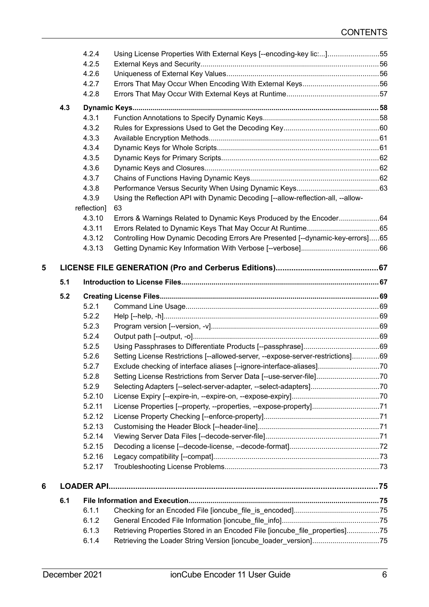<span id="page-5-20"></span><span id="page-5-19"></span><span id="page-5-18"></span><span id="page-5-17"></span><span id="page-5-16"></span><span id="page-5-15"></span><span id="page-5-14"></span><span id="page-5-13"></span><span id="page-5-12"></span><span id="page-5-11"></span><span id="page-5-10"></span><span id="page-5-9"></span><span id="page-5-8"></span><span id="page-5-7"></span><span id="page-5-6"></span><span id="page-5-5"></span><span id="page-5-4"></span><span id="page-5-3"></span><span id="page-5-2"></span><span id="page-5-1"></span><span id="page-5-0"></span>

|   |     | 4.2.4             | Using License Properties With External Keys [--encoding-key lic:]55              |  |
|---|-----|-------------------|----------------------------------------------------------------------------------|--|
|   |     | 4.2.5             |                                                                                  |  |
|   |     | 4.2.6             |                                                                                  |  |
|   |     | 4.2.7             |                                                                                  |  |
|   |     | 4.2.8             |                                                                                  |  |
|   | 4.3 |                   |                                                                                  |  |
|   |     | 4.3.1             |                                                                                  |  |
|   |     | 4.3.2             |                                                                                  |  |
|   |     | 4.3.3             |                                                                                  |  |
|   |     | 4.3.4             |                                                                                  |  |
|   |     | 4.3.5             |                                                                                  |  |
|   |     | 4.3.6             |                                                                                  |  |
|   |     | 4.3.7             |                                                                                  |  |
|   |     | 4.3.8             |                                                                                  |  |
|   |     | 4.3.9             | Using the Reflection API with Dynamic Decoding [--allow-reflection-all, --allow- |  |
|   |     | reflection]       | 63                                                                               |  |
|   |     | 4.3.10            | Errors & Warnings Related to Dynamic Keys Produced by the Encoder64              |  |
|   |     | 4.3.11            |                                                                                  |  |
|   |     | 4.3.12            | Controlling How Dynamic Decoding Errors Are Presented [--dynamic-key-errors]65   |  |
|   |     | 4.3.13            |                                                                                  |  |
|   |     |                   |                                                                                  |  |
| 5 |     |                   |                                                                                  |  |
|   | 5.1 |                   |                                                                                  |  |
|   | 5.2 |                   |                                                                                  |  |
|   |     | 5.2.1             |                                                                                  |  |
|   |     | 5.2.2             |                                                                                  |  |
|   |     | 5.2.3             |                                                                                  |  |
|   |     | 5.2.4             |                                                                                  |  |
|   |     | 5.2.5             |                                                                                  |  |
|   |     | 5.2.6             | Setting License Restrictions [--allowed-server, --expose-server-restrictions]69  |  |
|   |     | 5.2.7             | Exclude checking of interface aliases [--ignore-interface-aliases]70             |  |
|   |     | 5.2.8             | Setting License Restrictions from Server Data [--use-server-file]70              |  |
|   |     | 5.2.9             | Selecting Adapters [--select-server-adapter, --select-adapters]70                |  |
|   |     | 5.2.10            |                                                                                  |  |
|   |     | 5.2.11            | License Properties [--property, --properties, --expose-property]71               |  |
|   |     | 5.2.12            |                                                                                  |  |
|   |     | 5.2.13            |                                                                                  |  |
|   |     | 5.2.14            |                                                                                  |  |
|   |     | 5.2.15            |                                                                                  |  |
|   |     | 5.2.16            |                                                                                  |  |
|   |     | 5.2.17            |                                                                                  |  |
| 6 |     | <b>LOADER API</b> |                                                                                  |  |
|   | 6.1 |                   |                                                                                  |  |
|   |     | 6.1.1             |                                                                                  |  |
|   |     | 6.1.2             |                                                                                  |  |
|   |     | 6.1.3             | Retrieving Properties Stored in an Encoded File [ioncube file_properties]75      |  |
|   |     | 6.1.4             | Retrieving the Loader String Version [ioncube_loader_version]75                  |  |
|   |     |                   |                                                                                  |  |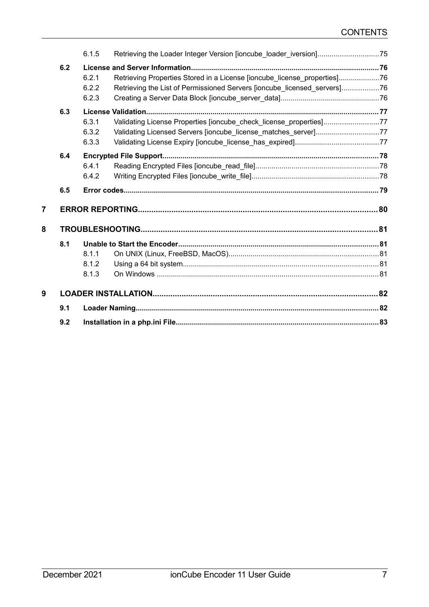|   |     | 6.1.5                   |                                                                                                                                                      |  |
|---|-----|-------------------------|------------------------------------------------------------------------------------------------------------------------------------------------------|--|
|   | 6.2 | 6.2.1<br>6.2.2<br>6.2.3 | Retrieving Properties Stored in a License [ioncube_license_properties]76<br>Retrieving the List of Permissioned Servers [ioncube licensed servers]76 |  |
|   | 6.3 | 6.3.1<br>6.3.2<br>6.3.3 | Validating License Properties [ioncube_check_license_properties]77<br>Validating Licensed Servers [ioncube license matches server]77                 |  |
|   | 6.4 | 6.4.1<br>6.4.2          |                                                                                                                                                      |  |
|   | 6.5 |                         |                                                                                                                                                      |  |
| 7 |     |                         |                                                                                                                                                      |  |
| 8 |     |                         |                                                                                                                                                      |  |
|   | 8.1 | 8.1.1<br>8.1.2<br>8.1.3 |                                                                                                                                                      |  |
| 9 |     |                         |                                                                                                                                                      |  |
|   | 9.1 |                         |                                                                                                                                                      |  |
|   | 9.2 |                         |                                                                                                                                                      |  |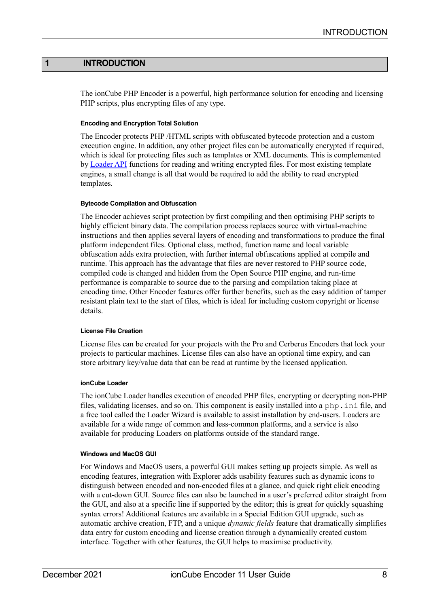## **1 INTRODUCTION**

The ionCube PHP Encoder is a powerful, high performance solution for encoding and licensing PHP scripts, plus encrypting files of any type.

#### **Encoding and Encryption Total Solution**

The Encoder protects PHP /HTML scripts with obfuscated bytecode protection and a custom execution engine. In addition, any other project files can be automatically encrypted if required, which is ideal for protecting files such as templates or XML documents. This is complemented by [Loader API](#page-74-7) functions for reading and writing encrypted files. For most existing template engines, a small change is all that would be required to add the ability to read encrypted templates.

#### **Bytecode Compilation and Obfuscation**

The Encoder achieves script protection by first compiling and then optimising PHP scripts to highly efficient binary data. The compilation process replaces source with virtual-machine instructions and then applies several layers of encoding and transformations to produce the final platform independent files. Optional class, method, function name and local variable obfuscation adds extra protection, with further internal obfuscations applied at compile and runtime. This approach has the advantage that files are never restored to PHP source code, compiled code is changed and hidden from the Open Source PHP engine, and run-time performance is comparable to source due to the parsing and compilation taking place at encoding time. Other Encoder features offer further benefits, such as the easy addition of tamper resistant plain text to the start of files, which is ideal for including custom copyright or license details.

#### **License File Creation**

License files can be created for your projects with the Pro and Cerberus Encoders that lock your projects to particular machines. License files can also have an optional time expiry, and can store arbitrary key/value data that can be read at runtime by the licensed application.

#### **ionCube Loader**

The ionCube Loader handles execution of encoded PHP files, encrypting or decrypting non-PHP files, validating licenses, and so on. This component is easily installed into a php.ini file, and a free tool called the Loader Wizard is available to assist installation by end-users. Loaders are available for a wide range of common and less-common platforms, and a service is also available for producing Loaders on platforms outside of the standard range.

#### **Windows and MacOS GUI**

For Windows and MacOS users, a powerful GUI makes setting up projects simple. As well as encoding features, integration with Explorer adds usability features such as dynamic icons to distinguish between encoded and non-encoded files at a glance, and quick right click encoding with a cut-down GUI. Source files can also be launched in a user's preferred editor straight from the GUI, and also at a specific line if supported by the editor; this is great for quickly squashing syntax errors! Additional features are available in a Special Edition GUI upgrade, such as automatic archive creation, FTP, and a unique *dynamic fields* feature that dramatically simplifies data entry for custom encoding and license creation through a dynamically created custom interface. Together with other features, the GUI helps to maximise productivity.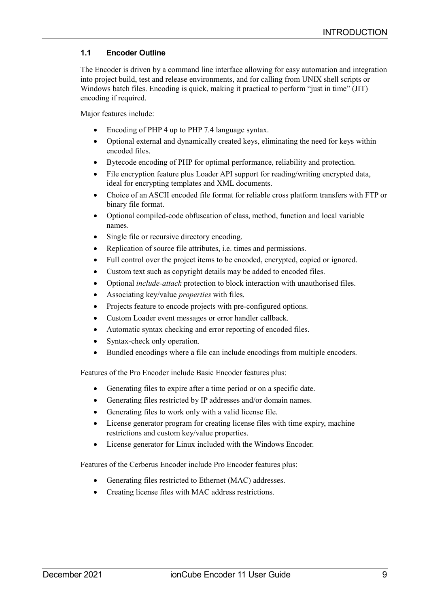# <span id="page-8-0"></span>**1.1 Encoder Outline**

The Encoder is driven by a command line interface allowing for easy automation and integration into project build, test and release environments, and for calling from UNIX shell scripts or Windows batch files. Encoding is quick, making it practical to perform "just in time" (JIT) encoding if required.

Major features include:

- Encoding of PHP 4 up to PHP 7.4 language syntax.
- Optional external and dynamically created keys, eliminating the need for keys within encoded files.
- Bytecode encoding of PHP for optimal performance, reliability and protection.
- File encryption feature plus Loader API support for reading/writing encrypted data, ideal for encrypting templates and XML documents.
- Choice of an ASCII encoded file format for reliable cross platform transfers with FTP or binary file format.
- Optional compiled-code obfuscation of class, method, function and local variable names.
- Single file or recursive directory encoding.
- Replication of source file attributes, i.e. times and permissions.
- Full control over the project items to be encoded, encrypted, copied or ignored.
- Custom text such as copyright details may be added to encoded files.
- Optional *include-attack* protection to block interaction with unauthorised files.
- Associating key/value *properties* with files.
- Projects feature to encode projects with pre-configured options.
- Custom Loader event messages or error handler callback.
- Automatic syntax checking and error reporting of encoded files.
- Syntax-check only operation.
- Bundled encodings where a file can include encodings from multiple encoders.

Features of the Pro Encoder include Basic Encoder features plus:

- Generating files to expire after a time period or on a specific date.
- Generating files restricted by IP addresses and/or domain names.
- Generating files to work only with a valid license file.
- License generator program for creating license files with time expiry, machine restrictions and custom key/value properties.
- License generator for Linux included with the Windows Encoder.

Features of the Cerberus Encoder include Pro Encoder features plus:

- Generating files restricted to Ethernet (MAC) addresses.
- Creating license files with MAC address restrictions.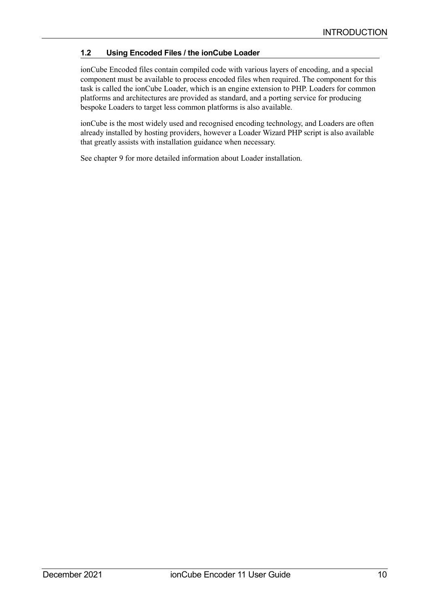# <span id="page-9-0"></span>**1.2 Using Encoded Files / the ionCube Loader**

ionCube Encoded files contain compiled code with various layers of encoding, and a special component must be available to process encoded files when required. The component for this task is called the ionCube Loader, which is an engine extension to PHP. Loaders for common platforms and architectures are provided as standard, and a porting service for producing bespoke Loaders to target less common platforms is also available.

ionCube is the most widely used and recognised encoding technology, and Loaders are often already installed by hosting providers, however a Loader Wizard PHP script is also available that greatly assists with installation guidance when necessary.

See chapter [9](#page-81-1) for more detailed information about Loader installation.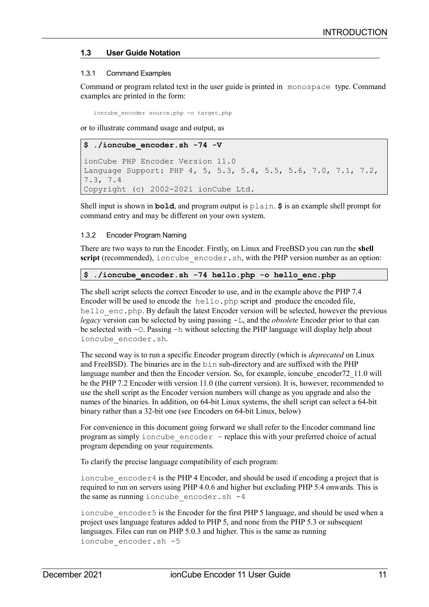# <span id="page-10-2"></span>**1.3 User Guide Notation**

#### <span id="page-10-1"></span>1.3.1 Command Examples

Command or program related text in the user guide is printed in monospace type. Command examples are printed in the form:

ioncube\_encoder source.php -o target.php

or to illustrate command usage and output, as

```
$ ./ioncube_encoder.sh -74 -V
ionCube PHP Encoder Version 11.0
Language Support: PHP 4, 5, 5.3, 5.4, 5.5, 5.6, 7.0, 7.1, 7.2, 
7.3, 7.4
Copyright (c) 2002-2021 ionCube Ltd.
```
Shell input is shown in **bold**, and program output is plain. **\$** is an example shell prompt for command entry and may be different on your own system.

## <span id="page-10-0"></span>1.3.2 Encoder Program Naming

There are two ways to run the Encoder. Firstly, on Linux and FreeBSD you can run the **shell script** (recommended), ioncube encoder.sh, with the PHP version number as an option:

# **\$ ./ioncube\_encoder.sh -74 hello.php -o hello\_enc.php**

The shell script selects the correct Encoder to use, and in the example above the PHP 7.4 Encoder will be used to encode the hello. php script and produce the encoded file, hello enc.php. By default the latest Encoder version will be selected, however the previous *legacy* version can be selected by using passing -L, and the *obsolete* Encoder prior to that can be selected with -O. Passing -h without selecting the PHP language will display help about ioncube\_encoder.sh.

The second way is to run a specific Encoder program directly (which is *deprecated* on Linux and FreeBSD). The binaries are in the bin sub-directory and are suffixed with the PHP language number and then the Encoder version. So, for example, ioncube encoder72 11.0 will be the PHP 7.2 Encoder with version 11.0 (the current version). It is, however, recommended to use the shell script as the Encoder version numbers will change as you upgrade and also the names of the binaries. In addition, on 64-bit Linux systems, the shell script can select a 64-bit binary rather than a 32-bit one (see [Encoders on 64-bit Linux, below\)](#page-11-2)

For convenience in this document going forward we shall refer to the Encoder command line program as simply ioncube encoder – replace this with your preferred choice of actual program depending on your requirements.

To clarify the precise language compatibility of each program:

ioncube  $\epsilon$  encoder 4 is the PHP 4 Encoder, and should be used if encoding a project that is required to run on servers using PHP 4.0.6 and higher but excluding PHP 5.4 onwards. This is the same as running ioncube encoder.sh  $-4$ 

ioncube encoder 5 is the Encoder for the first PHP 5 language, and should be used when a project uses language features added to PHP 5, and none from the PHP 5.3 or subsequent languages. Files can run on PHP 5.0.3 and higher. This is the same as running ioncube encoder.sh -5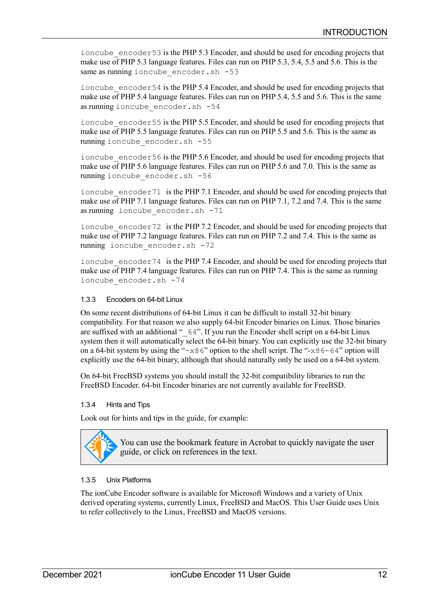ioncube  $\epsilon$  encoder 53 is the PHP 5.3 Encoder, and should be used for encoding projects that make use of PHP 5.3 language features. Files can run on PHP 5.3, 5.4, 5.5 and 5.6. This is the same as running ioncube encoder.sh -53

ioncube  $\epsilon$  encoder 54 is the PHP 5.4 Encoder, and should be used for encoding projects that make use of PHP 5.4 language features. Files can run on PHP 5.4, 5.5 and 5.6. This is the same as running ioncube\_encoder.sh -54

ioncube encoder55 is the PHP 5.5 Encoder, and should be used for encoding projects that make use of PHP 5.5 language features. Files can run on PHP 5.5 and 5.6. This is the same as running ioncube\_encoder.sh -55

ioncube  $\epsilon$  encoder 56 is the PHP 5.6 Encoder, and should be used for encoding projects that make use of PHP 5.6 language features. Files can run on PHP 5.6 and 7.0. This is the same as running ioncube\_encoder.sh -56

ioncube encoder71 is the PHP 7.1 Encoder, and should be used for encoding projects that make use of PHP 7.1 language features. Files can run on PHP 7.1, 7.2 and 7.4. This is the same as running ioncube\_encoder.sh -71

ioncube  $\epsilon$ encoder 72 is the PHP 7.2 Encoder, and should be used for encoding projects that make use of PHP 7.2 language features. Files can run on PHP 7.2 and 7.4. This is the same as running ioncube encoder.sh -72

ioncube  $\epsilon$  encoder 74 is the PHP 7.4 Encoder, and should be used for encoding projects that make use of PHP 7.4 language features. Files can run on PHP 7.4. This is the same as running ioncube\_encoder.sh -74

# <span id="page-11-2"></span>1.3.3 Encoders on 64-bit Linux

On some recent distributions of 64-bit Linux it can be difficult to install 32-bit binary compatibility. For that reason we also supply 64-bit Encoder binaries on Linux. Those binaries are suffixed with an additional "\_64". If you run the Encoder shell script on a 64-bit Linux system then it will automatically select the 64-bit binary. You can explicitly use the 32-bit binary on a 64-bit system by using the " $-x86$ " option to the shell script. The " $-x86-64$ " option will explicitly use the 64-bit binary, although that should naturally only be used on a 64-bit system.

On 64-bit FreeBSD systems you should install the 32-bit compatibility libraries to run the FreeBSD Encoder. 64-bit Encoder binaries are not currently available for FreeBSD.

# <span id="page-11-1"></span>1.3.4 Hints and Tips

Look out for hints and tips in the guide, for example:



You can use the bookmark feature in Acrobat to quickly navigate the user guide, or click on references in the text.

# <span id="page-11-0"></span>1.3.5 Unix Platforms

The ionCube Encoder software is available for Microsoft Windows and a variety of Unix derived operating systems, currently Linux, FreeBSD and MacOS. This User Guide uses Unix to refer collectively to the Linux, FreeBSD and MacOS versions.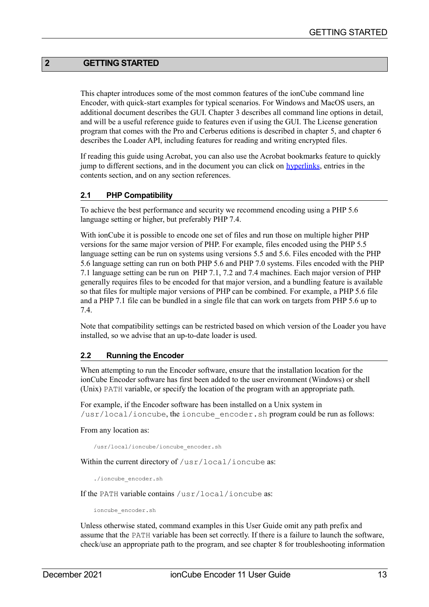# **2 GETTING STARTED**

<span id="page-12-1"></span>This chapter introduces some of the most common features of the ionCube command line Encoder, with quick-start examples for typical scenarios. For Windows and MacOS users, an additional document describes the GUI. Chapter [3](#page-23-3) describes all command line options in detail, and will be a useful reference guide to features even if using the GUI. The License generation program that comes with the Pro and Cerberus editions is described in chapter [5,](#page-66-1) and chapter [6](#page-74-5) describes the Loader API, including features for reading and writing encrypted files.

If reading this guide using Acrobat, you can also use the Acrobat bookmarks feature to quickly jump to different sections, and in the document you can click on **hyperlinks**, entries in the contents section, and on any section references.

#### **2.1 PHP Compatibility**

To achieve the best performance and security we recommend encoding using a PHP 5.6 language setting or higher, but preferably PHP 7.4.

With ionCube it is possible to encode one set of files and run those on multiple higher PHP versions for the same major version of PHP. For example, files encoded using the PHP 5.5 language setting can be run on systems using versions 5.5 and 5.6. Files encoded with the PHP 5.6 language setting can run on both PHP 5.6 and PHP 7.0 systems. Files encoded with the PHP 7.1 language setting can be run on PHP 7.1, 7.2 and 7.4 machines. Each major version of PHP generally requires files to be encoded for that major version, and a bundling feature is available so that files for multiple major versions of PHP can be combined. For example, a PHP 5.6 file and a PHP 7.1 file can be bundled in a single file that can work on targets from PHP 5.6 up to 7.4.

Note that compatibility settings can be restricted based on which version of the Loader you have installed, so we advise that an up-to-date loader is used.

#### <span id="page-12-0"></span>**2.2 Running the Encoder**

When attempting to run the Encoder software, ensure that the installation location for the ionCube Encoder software has first been added to the user environment (Windows) or shell (Unix) PATH variable, or specify the location of the program with an appropriate path.

For example, if the Encoder software has been installed on a Unix system in  $\sqrt{usr/local/ioncube}$ , the ioncube encoder. sh program could be run as follows:

#### From any location as:

/usr/local/ioncube/ioncube\_encoder.sh

Within the current directory of /usr/local/ioncube as:

./ioncube\_encoder.sh

If the PATH variable contains /usr/local/ioncube as:

ioncube\_encoder.sh

Unless otherwise stated, command examples in this User Guide omit any path prefix and assume that the PATH variable has been set correctly. If there is a failure to launch the software, check/use an appropriate path to the program, and see chapter [8](#page-80-4) for troubleshooting information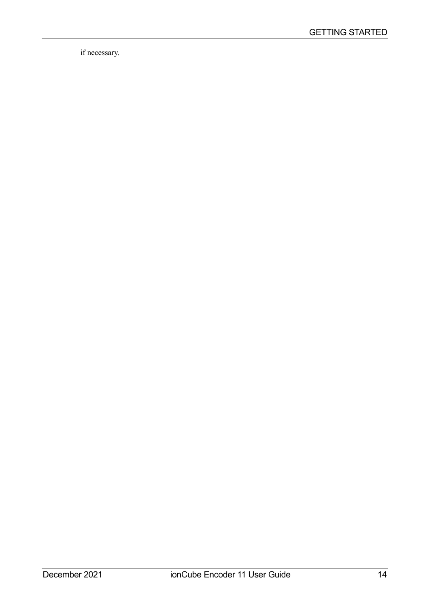if necessary.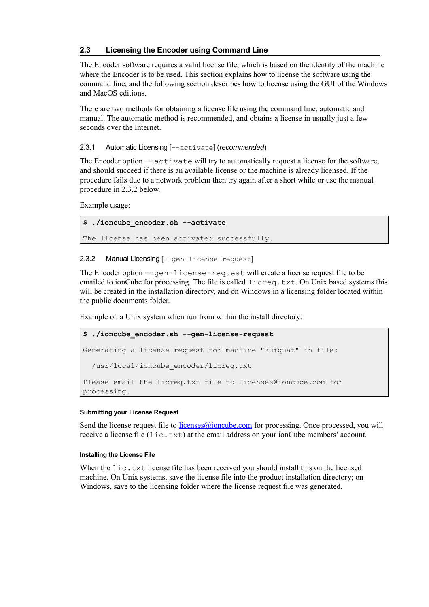## **2.3 Licensing the Encoder using Command Line**

The Encoder software requires a valid license file, which is based on the identity of the machine where the Encoder is to be used. This section explains how to license the software using the command line, and the following section describes how to license using the GUI of the Windows and MacOS editions.

There are two methods for obtaining a license file using the command line, automatic and manual. The automatic method is recommended, and obtains a license in usually just a few seconds over the Internet.

## 2.3.1 Automatic Licensing [--activate] (*recommended*)

The Encoder option --activate will try to automatically request a license for the software, and should succeed if there is an available license or the machine is already licensed. If the procedure fails due to a network problem then try again after a short while or use the manual procedure in [2.3.2](#page-14-0) [below.](#page-14-0)

Example usage:

**\$ ./ioncube\_encoder.sh --activate** The license has been activated successfully.

#### <span id="page-14-0"></span>2.3.2 Manual Licensing [--gen-license-request]

The Encoder option  $-\text{gen}-\text{line}$  -  $\text{degree}$  request will create a license request file to be emailed to ionCube for processing. The file is called  $l$ icreq.txt. On Unix based systems this will be created in the installation directory, and on Windows in a licensing folder located within the public documents folder.

Example on a Unix system when run from within the install directory:

```
$ ./ioncube_encoder.sh --gen-license-request
Generating a license request for machine "kumquat" in file:
   /usr/local/ioncube_encoder/licreq.txt
Please email the licreq.txt file to licenses@ioncube.com for
processing.
```
#### **Submitting your License Request**

Send the license request file to licenses  $\omega$  ioncube.com for processing. Once processed, you will receive a license file  $(iic.txt)$  at the email address on your ionCube members' account.

#### **Installing the License File**

When the  $\text{lic.txt}$  license file has been received you should install this on the licensed machine. On Unix systems, save the license file into the product installation directory; on Windows, save to the licensing folder where the license request file was generated.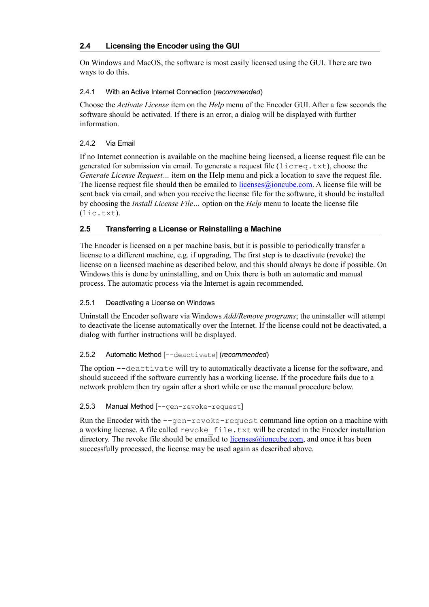# **2.4 Licensing the Encoder using the GUI**

On Windows and MacOS, the software is most easily licensed using the GUI. There are two ways to do this.

# 2.4.1 With an Active Internet Connection (*recommended*)

Choose the *Activate License* item on the *Help* menu of the Encoder GUI. After a few seconds the software should be activated. If there is an error, a dialog will be displayed with further information.

# 2.4.2 Via Email

If no Internet connection is available on the machine being licensed, a license request file can be generated for submission via email. To generate a request file  $(l \text{icreq.txt}),$  choose the *Generate License Request…* item on the Help menu and pick a location to save the request file. The license request file should then be emailed to  $\frac{licenses(\hat{\theta})ionceube.com}{i}$ . A license file will be sent back via email, and when you receive the license file for the software, it should be installed by choosing the *Install License File…* option on the *Help* menu to locate the license file (lic.txt).

# **2.5 Transferring a License or Reinstalling a Machine**

The Encoder is licensed on a per machine basis, but it is possible to periodically transfer a license to a different machine, e.g. if upgrading. The first step is to deactivate (revoke) the license on a licensed machine as described below, and this should always be done if possible. On Windows this is done by uninstalling, and on Unix there is both an automatic and manual process. The automatic process via the Internet is again recommended.

# 2.5.1 Deactivating a License on Windows

Uninstall the Encoder software via Windows *Add/Remove programs*; the uninstaller will attempt to deactivate the license automatically over the Internet. If the license could not be deactivated, a dialog with further instructions will be displayed.

# 2.5.2 Automatic Method [--deactivate] (*recommended*)

The option --deactivate will try to automatically deactivate a license for the software, and should succeed if the software currently has a working license. If the procedure fails due to a network problem then try again after a short while or use the manual procedure below.

# 2.5.3 Manual Method [--gen-revoke-request]

Run the Encoder with the  $-\text{gen-revole-request command}$  line option on a machine with a working license. A file called revoke file.txt will be created in the Encoder installation directory. The revoke file should be emailed to licenses  $\omega$  ioncube.com, and once it has been successfully processed, the license may be used again as described above.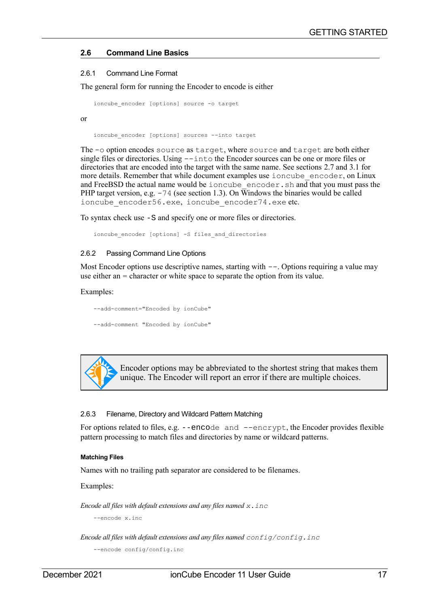## **2.6 Command Line Basics**

#### <span id="page-16-2"></span>2.6.1 Command Line Format

The general form for running the Encoder to encode is either

```
ioncube encoder [options] source -o target
```
ioncube encoder [options] sources --into target

The -o option encodes source as target, where source and target are both either single files or directories. Using --into the Encoder sources can be one or more files or directories that are encoded into the target with the same name. See sections [2.7](#page-20-2) and [3.1](#page-23-2) for more details. Remember that while document examples use ioncube encoder, on Linux and FreeBSD the actual name would be ioncube\_encoder.sh and that you must pass the PHP target version, e.g.  $-74$  (see section 1.3). On Windows the binaries would be called ioncube encoder56.exe, ioncube encoder74.exe etc.

To syntax check use -S and specify one or more files or directories.

<span id="page-16-1"></span>ioncube encoder [options] -S files and directories

#### 2.6.2 Passing Command Line Options

Most Encoder options use descriptive names, starting with  $--$ . Options requiring a value may use either an = character or white space to separate the option from its value.

#### Examples:

or

--add-comment="Encoded by ionCube" --add-comment "Encoded by ionCube"



Encoder options may be abbreviated to the shortest string that makes them unique. The Encoder will report an error if there are multiple choices.

#### <span id="page-16-0"></span>2.6.3 Filename, Directory and Wildcard Pattern Matching

For options related to files, e.g. --encode and --encrypt, the Encoder provides flexible pattern processing to match files and directories by name or wildcard patterns.

#### **Matching Files**

Names with no trailing path separator are considered to be filenames.

Examples:

*Encode all files with default extensions and any files named x.inc*

--encode x.inc

*Encode all files with default extensions and any files named config/config.inc*

```
--encode config/config.inc
```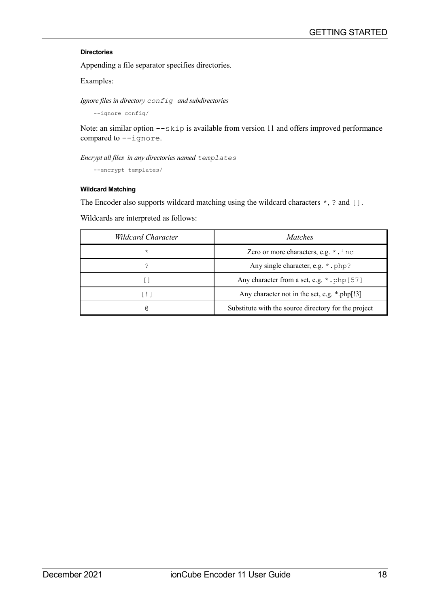## **Directories**

Appending a file separator specifies directories.

Examples:

*Ignore files in directory config and subdirectories*

--ignore config/

Note: an similar option  $--$ skip is available from version 11 and offers improved performance compared to --ignore.

*Encrypt all files in any directories named templates*

--encrypt templates/

#### **Wildcard Matching**

The Encoder also supports wildcard matching using the wildcard characters  $\star$ , ? and [].

Wildcards are interpreted as follows:

| <b>Wildcard Character</b> | <i>Matches</i>                                       |
|---------------------------|------------------------------------------------------|
| $\star$                   | Zero or more characters, e.g. *. inc                 |
|                           | Any single character, e.g. * . php?                  |
|                           | Any character from a set, e.g. * . php [57]          |
| l ! I                     | Any character not in the set, e.g. *.php[!3]         |
| G)                        | Substitute with the source directory for the project |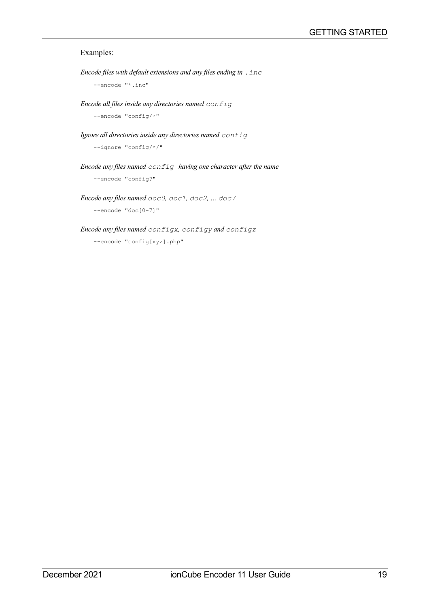## Examples:

```
Encode files with default extensions and any files ending in .inc
    --encode "*.inc"
```
*Encode all files inside any directories named config*

--encode "config/\*"

*Ignore all directories inside any directories named config*

--ignore "config/\*/"

*Encode any files named config having one character after the name*

--encode "config?"

*Encode any files named doc0, doc1, doc2, … doc7* --encode "doc[0-7]"

#### *Encode any files named configx, configy and configz*

--encode "config[xyz].php"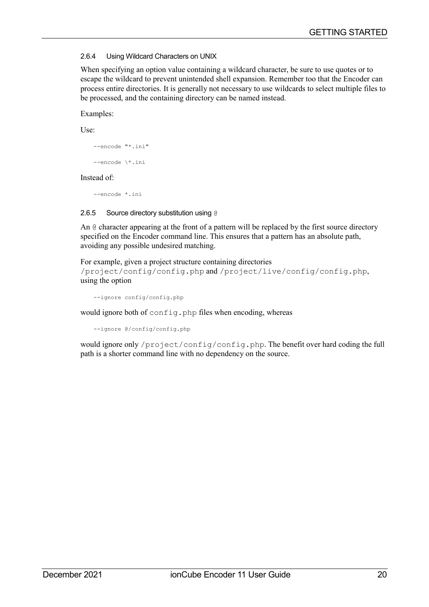# <span id="page-19-1"></span>2.6.4 Using Wildcard Characters on UNIX

When specifying an option value containing a wildcard character, be sure to use quotes or to escape the wildcard to prevent unintended shell expansion. Remember too that the Encoder can process entire directories. It is generally not necessary to use wildcards to select multiple files to be processed, and the containing directory can be named instead.

#### Examples:

Use:

```
--encode "*.ini"
--encode \*.ini
```
#### Instead of:

<span id="page-19-0"></span>--encode \*.ini

## 2.6.5 Source directory substitution using @

An @ character appearing at the front of a pattern will be replaced by the first source directory specified on the Encoder command line. This ensures that a pattern has an absolute path, avoiding any possible undesired matching.

For example, given a project structure containing directories /project/config/config.php and /project/live/config/config.php, using the option

--ignore config/config.php

would ignore both of config.php files when encoding, whereas

```
--ignore @/config/config.php
```
would ignore only /project/config/config.php. The benefit over hard coding the full path is a shorter command line with no dependency on the source.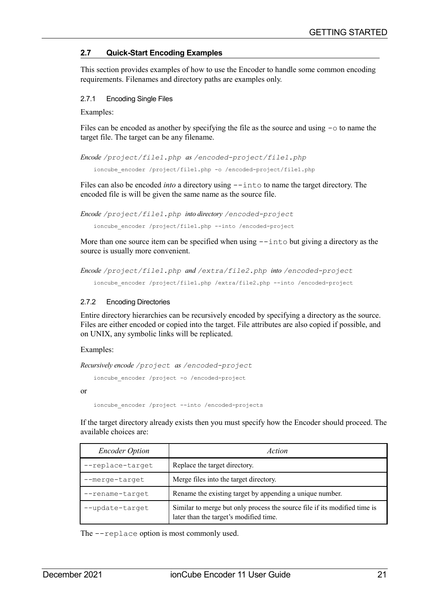# <span id="page-20-2"></span>**2.7 Quick-Start Encoding Examples**

This section provides examples of how to use the Encoder to handle some common encoding requirements. Filenames and directory paths are examples only.

#### <span id="page-20-1"></span>2.7.1 Encoding Single Files

Examples:

Files can be encoded as another by specifying the file as the source and using  $-\circ$  to name the target file. The target can be any filename.

*Encode /project/file1.php as /encoded-project/file1.php*

ioncube encoder /project/file1.php -o /encoded-project/file1.php

Files can also be encoded *into* a directory using  $-\text{into}$  to name the target directory. The encoded file is will be given the same name as the source file.

```
Encode /project/file1.php into directory /encoded-project
```
ioncube\_encoder /project/file1.php --into /encoded-project

More than one source item can be specified when using  $-\text{into}$  but giving a directory as the source is usually more convenient.

*Encode /project/file1.php and /extra/file2.php into /encoded-project*

<span id="page-20-0"></span>ioncube\_encoder /project/file1.php /extra/file2.php --into /encoded-project

#### 2.7.2 Encoding Directories

Entire directory hierarchies can be recursively encoded by specifying a directory as the source. Files are either encoded or copied into the target. File attributes are also copied if possible, and on UNIX, any symbolic links will be replicated.

Examples:

*Recursively encode /project as /encoded-project*

ioncube encoder /project -o /encoded-project

or

```
ioncube encoder /project --into /encoded-projects
```
If the target directory already exists then you must specify how the Encoder should proceed. The available choices are:

| <b>Encoder Option</b> | Action                                                                                                              |
|-----------------------|---------------------------------------------------------------------------------------------------------------------|
| --replace-target      | Replace the target directory.                                                                                       |
| --merge-target        | Merge files into the target directory.                                                                              |
| --rename-target       | Rename the existing target by appending a unique number.                                                            |
| --update-target       | Similar to merge but only process the source file if its modified time is<br>later than the target's modified time. |

The --replace option is most commonly used.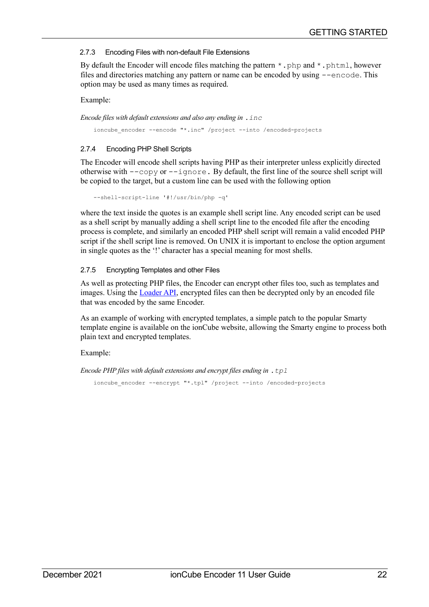## <span id="page-21-2"></span>2.7.3 Encoding Files with non-default File Extensions

By default the Encoder will encode files matching the pattern  $*$ . php and  $*$ . phtml, however files and directories matching any pattern or name can be encoded by using --encode. This option may be used as many times as required.

#### Example:

*Encode files with default extensions and also any ending in .inc*

<span id="page-21-1"></span>ioncube encoder --encode "\*.inc" /project --into /encoded-projects

# 2.7.4 Encoding PHP Shell Scripts

The Encoder will encode shell scripts having PHP as their interpreter unless explicitly directed otherwise with  $-\text{copy or } -\text{ignore}$ . By default, the first line of the source shell script will be copied to the target, but a custom line can be used with the following option

--shell-script-line '#!/usr/bin/php -q'

where the text inside the quotes is an example shell script line. Any encoded script can be used as a shell script by manually adding a shell script line to the encoded file after the encoding process is complete, and similarly an encoded PHP shell script will remain a valid encoded PHP script if the shell script line is removed. On UNIX it is important to enclose the option argument in single quotes as the '!' character has a special meaning for most shells.

# <span id="page-21-0"></span>2.7.5 Encrypting Templates and other Files

As well as protecting PHP files, the Encoder can encrypt other files too, such as templates and images. Using the [Loader API,](#page-74-7) encrypted files can then be decrypted only by an encoded file that was encoded by the same Encoder.

As an example of working with encrypted templates, a simple patch to the popular Smarty template engine is available on the ionCube website, allowing the Smarty engine to process both plain text and encrypted templates.

# Example:

*Encode PHP files with default extensions and encrypt files ending in .tpl*

ioncube encoder --encrypt "\*.tpl" /project --into /encoded-projects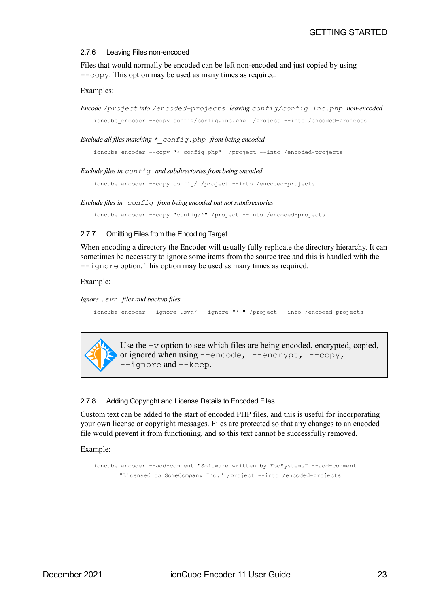#### <span id="page-22-2"></span>2.7.6 Leaving Files non-encoded

Files that would normally be encoded can be left non-encoded and just copied by using --copy. This option may be used as many times as required.

#### Examples:

```
Encode /project into /encoded-projects leaving config/config.inc.php non-encoded
   ioncube_encoder --copy config/config.inc.php /project --into /encoded-projects
```
*Exclude all files matching \*\_config.php from being encoded*

ioncube\_encoder --copy "\*\_config.php" /project --into /encoded-projects

*Exclude files in config and subdirectories from being encoded*

ioncube encoder --copy config/ /project --into /encoded-projects

*Exclude files in config from being encoded but not subdirectories*

<span id="page-22-1"></span>ioncube encoder --copy "config/\*" /project --into /encoded-projects

#### 2.7.7 Omitting Files from the Encoding Target

When encoding a directory the Encoder will usually fully replicate the directory hierarchy. It can sometimes be necessary to ignore some items from the source tree and this is handled with the --ignore option. This option may be used as many times as required.

#### Example:

*Ignore .svn files and backup files*

ioncube encoder --ignore .svn/ --ignore "\*~" /project --into /encoded-projects



Use the  $-v$  option to see which files are being encoded, encrypted, copied, or ignored when using --encode, --encrypt, --copy, --ignore and --keep.

#### <span id="page-22-0"></span>2.7.8 Adding Copyright and License Details to Encoded Files

Custom text can be added to the start of encoded PHP files, and this is useful for incorporating your own license or copyright messages. Files are protected so that any changes to an encoded file would prevent it from functioning, and so this text cannot be successfully removed.

Example:

ioncube encoder --add-comment "Software written by FooSystems" --add-comment "Licensed to SomeCompany Inc." /project --into /encoded-projects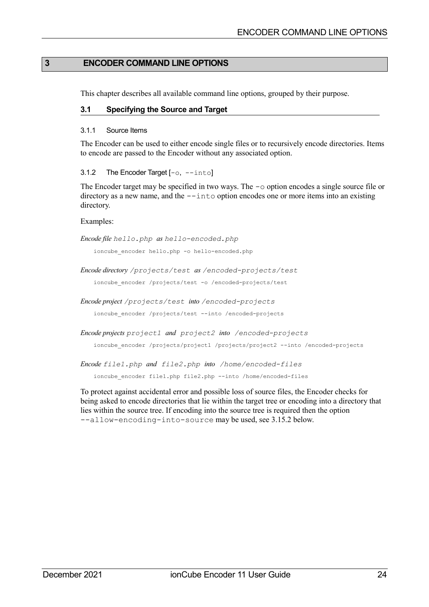# **3 ENCODER COMMAND LINE OPTIONS**

<span id="page-23-3"></span>This chapter describes all available command line options, grouped by their purpose.

#### <span id="page-23-2"></span>**3.1 Specifying the Source and Target**

#### <span id="page-23-1"></span>3.1.1 Source Items

The Encoder can be used to either encode single files or to recursively encode directories. Items to encode are passed to the Encoder without any associated option.

#### <span id="page-23-0"></span>3.1.2 The Encoder Target [-o, --into]

The Encoder target may be specified in two ways. The  $-\circ$  option encodes a single source file or directory as a new name, and the  $-\text{int}$  option encodes one or more items into an existing directory.

#### Examples:

*Encode file hello.php as hello-encoded.php*

ioncube encoder hello.php -o hello-encoded.php

*Encode directory /projects/test as /encoded-projects/test*

ioncube encoder /projects/test -o /encoded-projects/test

*Encode project /projects/test into /encoded-projects*

ioncube\_encoder /projects/test --into /encoded-projects

*Encode projects project1 and project2 into /encoded-projects*

ioncube\_encoder /projects/project1 /projects/project2 --into /encoded-projects

*Encode file1.php and file2.php into /home/encoded-files*

ioncube encoder file1.php file2.php --into /home/encoded-files

To protect against accidental error and possible loss of source files, the Encoder checks for being asked to encode directories that lie within the target tree or encoding into a directory that lies within the source tree. If encoding into the source tree is required then the option --allow-encoding-into-source may be used, see [3.15.2](#page-49-0) [below.](#page-49-0)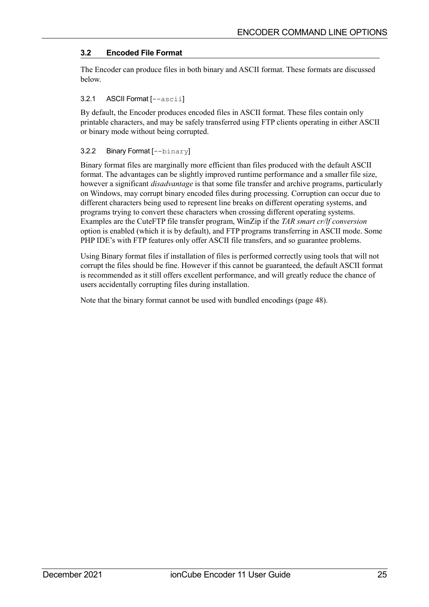# <span id="page-24-2"></span>**3.2 Encoded File Format**

The Encoder can produce files in both binary and ASCII format. These formats are discussed below.

#### <span id="page-24-1"></span>3.2.1 ASCII Format [--ascii]

By default, the Encoder produces encoded files in ASCII format. These files contain only printable characters, and may be safely transferred using FTP clients operating in either ASCII or binary mode without being corrupted.

#### <span id="page-24-0"></span>3.2.2 Binary Format [--binary]

Binary format files are marginally more efficient than files produced with the default ASCII format. The advantages can be slightly improved runtime performance and a smaller file size, however a significant *disadvantage* is that some file transfer and archive programs, particularly on Windows, may corrupt binary encoded files during processing. Corruption can occur due to different characters being used to represent line breaks on different operating systems, and programs trying to convert these characters when crossing different operating systems. Examples are the CuteFTP file transfer program, WinZip if the *TAR smart cr/lf conversion* option is enabled (which it is by default), and FTP programs transferring in ASCII mode. Some PHP IDE's with FTP features only offer ASCII file transfers, and so guarantee problems.

Using Binary format files if installation of files is performed correctly using tools that will not corrupt the files should be fine. However if this cannot be guaranteed, the default ASCII format is recommended as it still offers excellent performance, and will greatly reduce the chance of users accidentally corrupting files during installation.

Note that the binary format cannot be used with bundled encodings (page [48\)](#page-47-0).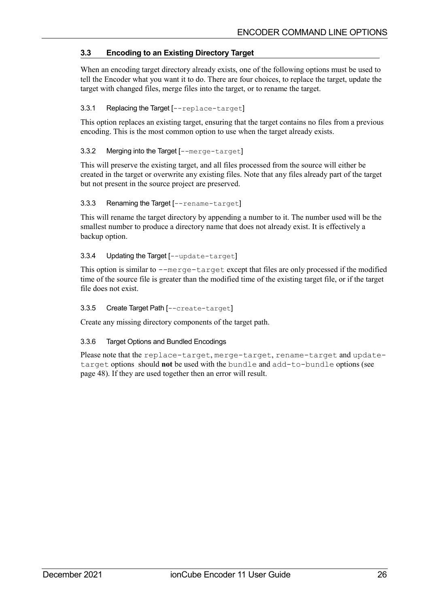# <span id="page-25-5"></span>**3.3 Encoding to an Existing Directory Target**

When an encoding target directory already exists, one of the following options must be used to tell the Encoder what you want it to do. There are four choices, to replace the target, update the target with changed files, merge files into the target, or to rename the target.

## <span id="page-25-4"></span>3.3.1 Replacing the Target [--replace-target]

This option replaces an existing target, ensuring that the target contains no files from a previous encoding. This is the most common option to use when the target already exists.

## <span id="page-25-3"></span>3.3.2 Merging into the Target [--merge-target]

This will preserve the existing target, and all files processed from the source will either be created in the target or overwrite any existing files. Note that any files already part of the target but not present in the source project are preserved.

#### <span id="page-25-2"></span>3.3.3 Renaming the Target [--rename-target]

This will rename the target directory by appending a number to it. The number used will be the smallest number to produce a directory name that does not already exist. It is effectively a backup option.

## <span id="page-25-1"></span>3.3.4 Updating the Target [--update-target]

This option is similar to --merge-target except that files are only processed if the modified time of the source file is greater than the modified time of the existing target file, or if the target file does not exist.

#### <span id="page-25-0"></span>3.3.5 Create Target Path [--create-target]

Create any missing directory components of the target path.

# 3.3.6 Target Options and Bundled Encodings

Please note that the replace-target, merge-target, rename-target and updatetarget options should **not** be used with the bundle and add-to-bundle options (see page [48\)](#page-47-0). If they are used together then an error will result.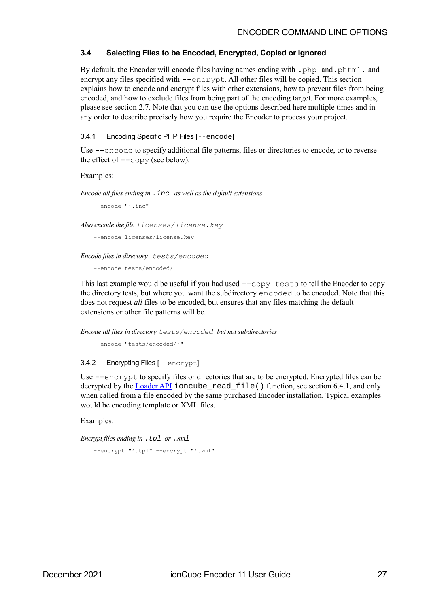# <span id="page-26-2"></span>**3.4 Selecting Files to be Encoded, Encrypted, Copied or Ignored**

By default, the Encoder will encode files having names ending with . php and. phtml, and encrypt any files specified with --encrypt. All other files will be copied. This section explains how to encode and encrypt files with other extensions, how to prevent files from being encoded, and how to exclude files from being part of the encoding target. For more examples, please see section [2.7.](#page-20-2) Note that you can use the options described here multiple times and in any order to describe precisely how you require the Encoder to process your project.

## <span id="page-26-1"></span>3.4.1 Encoding Specific PHP Files [--encode]

Use --encode to specify additional file patterns, files or directories to encode, or to reverse the effect of  $-\text{copy}$  (see [below\)](#page-26-0).

#### Examples:

*Encode all files ending in* .inc *as well as the default extensions*

--encode "\*.inc"

*Also encode the file licenses/license.key*

```
--encode licenses/license.key
```
*Encode files in directory tests/encoded*

--encode tests/encoded/

This last example would be useful if you had used --copy tests to tell the Encoder to copy the directory tests, but where you want the subdirectory encoded to be encoded. Note that this does not request *all* files to be encoded, but ensures that any files matching the default extensions or other file patterns will be.

*Encode all files in directory tests/encoded but not subdirectories*

```
--encode "tests/encoded/*"
```
# 3.4.2 Encrypting Files [--encrypt]

Use --encrypt to specify files or directories that are to be encrypted. Encrypted files can be decrypted by the [Loader API](#page-74-7) ioncube\_read\_file() function, see section [6.4.1,](#page-77-1) and only when called from a file encoded by the same purchased Encoder installation. Typical examples would be encoding template or XML files.

Examples:

```
Encrypt files ending in .tpl or .xml
```

```
--encrypt "*.tpl" --encrypt "*.xml"
```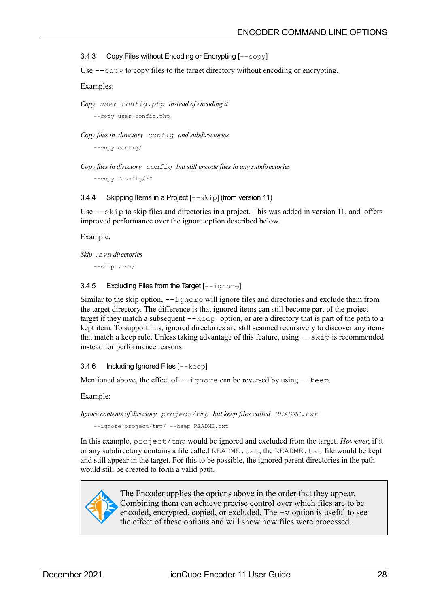<span id="page-27-1"></span>3.4.3 Copy Files without Encoding or Encrypting [--copy]

Use --copy to copy files to the target directory without encoding or encrypting.

#### Examples:

*Copy user\_config.php instead of encoding it*

--copy user config.php

*Copy files in directory config and subdirectories*

--copy config/

*Copy files in directory config but still encode files in any subdirectories*

--copy "config/\*"

3.4.4 Skipping Items in a Project [--skip] (from version 11)

Use  $-\text{skip}$  to skip files and directories in a project. This was added in version 11, and offers improved performance over the ignore option described below.

Example:

*Skip .svn directories* 

--skip .svn/

#### 3.4.5 Excluding Files from the Target [--ignore]

Similar to the skip option, --ignore will ignore files and directories and exclude them from the target directory. The difference is that ignored items can still become part of the project target if they match a subsequent  $-\text{keep}$  option, or are a directory that is part of the path to a kept item. To support this, ignored directories are still scanned recursively to discover any items that match a keep rule. Unless taking advantage of this feature, using  $-\text{skip}$  is recommended instead for performance reasons.

<span id="page-27-0"></span>3.4.6 Including Ignored Files [--keep]

Mentioned above, the effect of  $-\text{i}$  gnore can be reversed by using  $-\text{keep}$ .

Example:

```
Ignore contents of directory project/tmp but keep files called README.txt
```
--ignore project/tmp/ --keep README.txt

In this example, project/tmp would be ignored and excluded from the target. *However*, if it or any subdirectory contains a file called README.txt, the README.txt file would be kept and still appear in the target. For this to be possible, the ignored parent directories in the path would still be created to form a valid path.



The Encoder applies the options above in the order that they appear. Combining them can achieve precise control over which files are to be encoded, encrypted, copied, or excluded. The -v option is useful to see the effect of these options and will show how files were processed.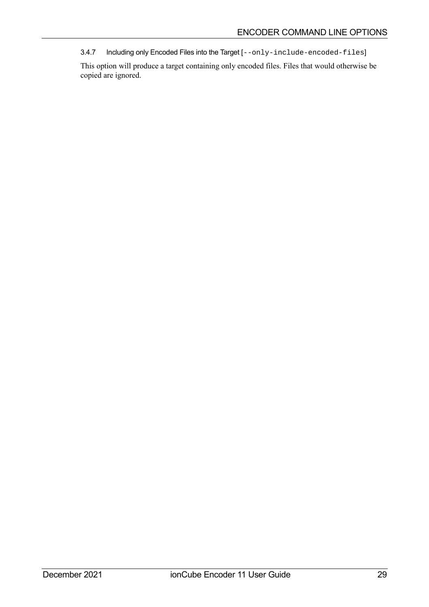<span id="page-28-0"></span>3.4.7 Including only Encoded Files into the Target [--only-include-encoded-files]

This option will produce a target containing only encoded files. Files that would otherwise be copied are ignored.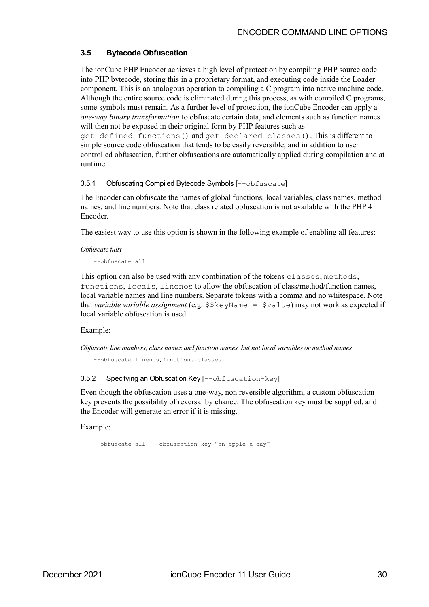# <span id="page-29-2"></span>**3.5 Bytecode Obfuscation**

The ionCube PHP Encoder achieves a high level of protection by compiling PHP source code into PHP bytecode, storing this in a proprietary format, and executing code inside the Loader component. This is an analogous operation to compiling a C program into native machine code. Although the entire source code is eliminated during this process, as with compiled C programs, some symbols must remain. As a further level of protection, the ionCube Encoder can apply a *one-way binary transformation* to obfuscate certain data, and elements such as function names will then not be exposed in their original form by PHP features such as get defined functions () and get declared classes (). This is different to simple source code obfuscation that tends to be easily reversible, and in addition to user controlled obfuscation, further obfuscations are automatically applied during compilation and at runtime.

<span id="page-29-1"></span>3.5.1 Obfuscating Compiled Bytecode Symbols [--obfuscate]

The Encoder can obfuscate the names of global functions, local variables, class names, method names, and line numbers. Note that class related obfuscation is not available with the PHP 4 Encoder.

The easiest way to use this option is shown in the following example of enabling all features:

*Obfuscate fully*

--obfuscate all

This option can also be used with any combination of the tokens classes, methods, functions, locals, linenos to allow the obfuscation of class/method/function names, local variable names and line numbers. Separate tokens with a comma and no whitespace. Note that *variable variable assignment* (e.g. \$\$keyName = \$value) may not work as expected if local variable obfuscation is used.

#### Example:

*Obfuscate line numbers, class names and function names, but not local variables or method names*

<span id="page-29-0"></span>--obfuscate linenos, functions, classes

#### 3.5.2 Specifying an Obfuscation Key [--obfuscation-key]

Even though the obfuscation uses a one-way, non reversible algorithm, a custom obfuscation key prevents the possibility of reversal by chance. The obfuscation key must be supplied, and the Encoder will generate an error if it is missing.

Example:

--obfuscate all --obfuscation-key "an apple a day"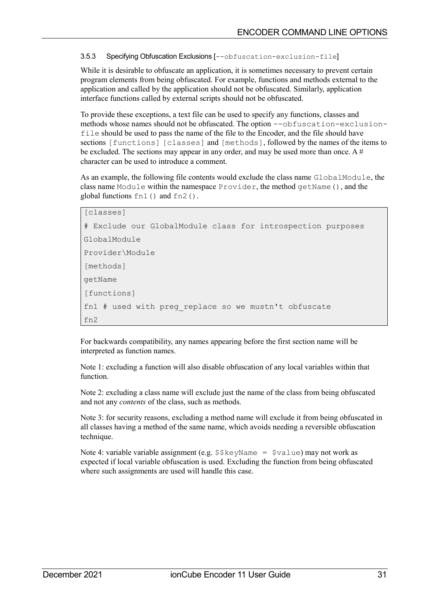<span id="page-30-0"></span>3.5.3 Specifying Obfuscation Exclusions [--obfuscation-exclusion-file]

While it is desirable to obfuscate an application, it is sometimes necessary to prevent certain program elements from being obfuscated. For example, functions and methods external to the application and called by the application should not be obfuscated. Similarly, application interface functions called by external scripts should not be obfuscated.

To provide these exceptions, a text file can be used to specify any functions, classes and methods whose names should not be obfuscated. The option --obfuscation-exclusionfile should be used to pass the name of the file to the Encoder, and the file should have sections [functions] [classes] and [methods], followed by the names of the items to be excluded. The sections may appear in any order, and may be used more than once. A # character can be used to introduce a comment.

As an example, the following file contents would exclude the class name GlobalModule, the class name Module within the namespace Provider, the method getName(), and the global functions fn1() and fn2().

```
[classes]
# Exclude our GlobalModule class for introspection purposes
GlobalModule
Provider\Module
[methods]
getName
[functions]
fn1 # used with preg_replace so we mustn't obfuscate
fn2
```
For backwards compatibility, any names appearing before the first section name will be interpreted as function names.

Note 1: excluding a function will also disable obfuscation of any local variables within that function.

Note 2: excluding a class name will exclude just the name of the class from being obfuscated and not any *contents* of the class, such as methods.

Note 3: for security reasons, excluding a method name will exclude it from being obfuscated in all classes having a method of the same name, which avoids needing a reversible obfuscation technique.

Note 4: variable variable assignment (e.g.  $\frac{2}{5}$ keyName =  $\frac{2}{3}$ value) may not work as expected if local variable obfuscation is used. Excluding the function from being obfuscated where such assignments are used will handle this case.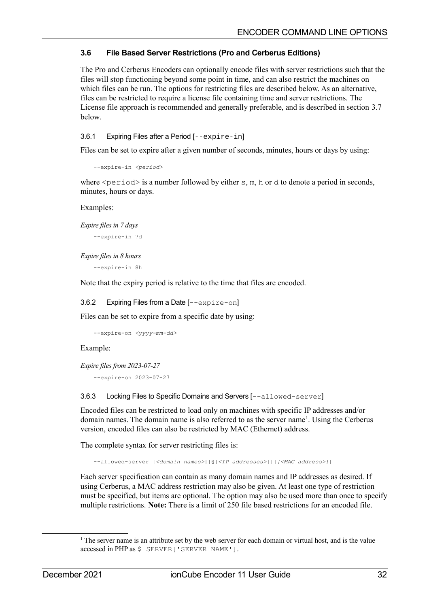# <span id="page-31-3"></span>**3.6 File Based Server Restrictions (Pro and Cerberus Editions)**

The Pro and Cerberus Encoders can optionally encode files with server restrictions such that the files will stop functioning beyond some point in time, and can also restrict the machines on which files can be run. The options for restricting files are described below. As an alternative, files can be restricted to require a license file containing time and server restrictions. The License file approach is recommended and generally preferable, and is described in section [3.7](#page-35-2) [below.](#page-35-2)

<span id="page-31-2"></span>3.6.1 Expiring Files after a Period [--expire-in]

Files can be set to expire after a given number of seconds, minutes, hours or days by using:

```
--expire-in <period>
```
where  $\le$  period> is a number followed by either s, m, h or d to denote a period in seconds, minutes, hours or days.

#### Examples:

*Expire files in 7 days*

--expire-in 7d

*Expire files in 8 hours*

--expire-in 8h

Note that the expiry period is relative to the time that files are encoded.

#### <span id="page-31-1"></span>3.6.2 Expiring Files from a Date [--expire-on]

Files can be set to expire from a specific date by using:

--expire-on *<yyyy-mm-dd>*

#### Example:

```
Expire files from 2023-07-27
```
<span id="page-31-0"></span>--expire-on 2023-07-27

3.6.3 Locking Files to Specific Domains and Servers [--allowed-server]

Encoded files can be restricted to load only on machines with specific IP addresses and/or domain names. The domain name is also referred to as the server name<sup>[1](#page-31-4)</sup>. Using the Cerberus version, encoded files can also be restricted by MAC (Ethernet) address.

The complete syntax for server restricting files is:

--allowed-server [*<domain names>*][@[*<IP addresses>*]][*{<MAC address>}*]

Each server specification can contain as many domain names and IP addresses as desired. If using Cerberus, a MAC address restriction may also be given. At least one type of restriction must be specified, but items are optional. The option may also be used more than once to specify multiple restrictions. **Note:** There is a limit of 250 file based restrictions for an encoded file.

<span id="page-31-4"></span><sup>&</sup>lt;sup>1</sup> The server name is an attribute set by the web server for each domain or virtual host, and is the value accessed in PHP as \$ SERVER ['SERVER\_NAME'].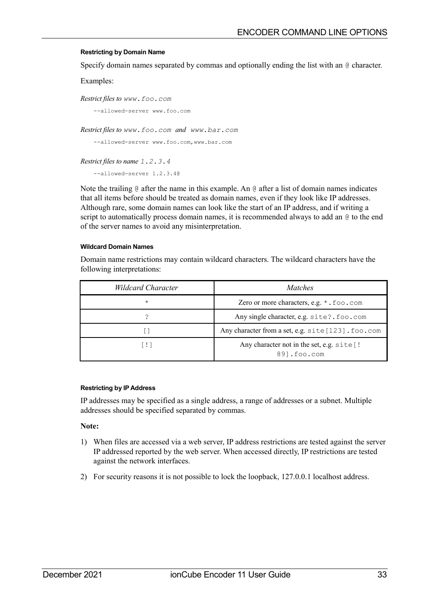#### **Restricting by Domain Name**

Specify domain names separated by commas and optionally ending the list with an @ character.

Examples:

*Restrict files to www.foo.com*

--allowed-server www.foo.com

*Restrict files to www.foo.com and www.bar.com*

```
--allowed-server www.foo.com,www.bar.com
```
*Restrict files to name 1.2.3.4*

--allowed-server 1.2.3.4@

Note the trailing  $\&$  after the name in this example. An  $\&$  after a list of domain names indicates that all items before should be treated as domain names, even if they look like IP addresses. Although rare, some domain names can look like the start of an IP address, and if writing a script to automatically process domain names, it is recommended always to add an @ to the end of the server names to avoid any misinterpretation.

#### **Wildcard Domain Names**

Domain name restrictions may contain wildcard characters. The wildcard characters have the following interpretations:

| Wildcard Character | <i>Matches</i>                                            |
|--------------------|-----------------------------------------------------------|
| $\star$            | Zero or more characters, e.g. * . foo . com               |
| 7                  | Any single character, e.g. site?. foo.com                 |
|                    | Any character from a set, e.g. site [123]. foo.com        |
| T ! 1              | Any character not in the set, e.g. site [!<br>891.foo.com |

#### **Restricting by IP Address**

IP addresses may be specified as a single address, a range of addresses or a subnet. Multiple addresses should be specified separated by commas.

#### **Note:**

- 1) When files are accessed via a web server, IP address restrictions are tested against the server IP addressed reported by the web server. When accessed directly, IP restrictions are tested against the network interfaces.
- 2) For security reasons it is not possible to lock the loopback, 127.0.0.1 localhost address.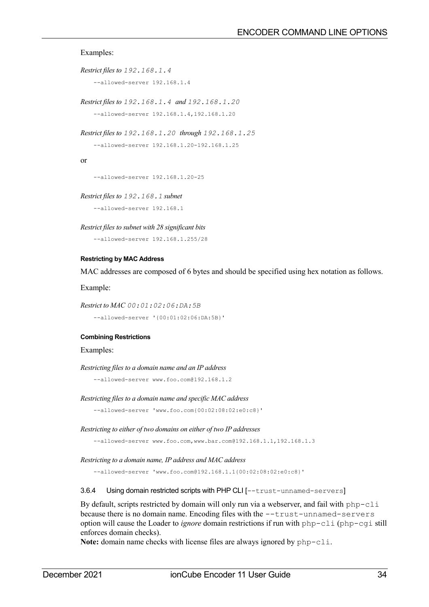#### Examples:

```
Restrict files to 192.168.1.4
    --allowed-server 192.168.1.4
```

```
Restrict files to 192.168.1.4 and 192.168.1.20
```
--allowed-server 192.168.1.4,192.168.1.20

```
Restrict files to 192.168.1.20 through 192.168.1.25
```

```
--allowed-server 192.168.1.20-192.168.1.25
```
or

--allowed-server 192.168.1.20-25

*Restrict files to 192.168.1 subnet*

--allowed-server 192.168.1

*Restrict files to subnet with 28 significant bits*

--allowed-server 192.168.1.255/28

#### **Restricting by MAC Address**

MAC addresses are composed of 6 bytes and should be specified using hex notation as follows.

Example:

```
Restrict to MAC 00:01:02:06:DA:5B
```

```
--allowed-server '{00:01:02:06:DA:5B}'
```
#### **Combining Restrictions**

Examples:

```
Restricting files to a domain name and an IP address
```
--allowed-server www.foo.com@192.168.1.2

*Restricting files to a domain name and specific MAC address*

--allowed-server 'www.foo.com{00:02:08:02:e0:c8}'

*Restricting to either of two domains on either of two IP addresses*

--allowed-server www.foo.com,www.bar.com@192.168.1.1,192.168.1.3

*Restricting to a domain name, IP address and MAC address*

<span id="page-33-0"></span>--allowed-server 'www.foo.com@192.168.1.1{00:02:08:02:e0:c8}'

3.6.4 Using domain restricted scripts with PHP CLI [--trust-unnamed-servers]

By default, scripts restricted by domain will only run via a webserver, and fail with  $pp-cli$ because there is no domain name. Encoding files with the --trust-unnamed-servers option will cause the Loader to *ignore* domain restrictions if run with php-cli (php-cgi still enforces domain checks).

**Note:** domain name checks with license files are always ignored by php-cli.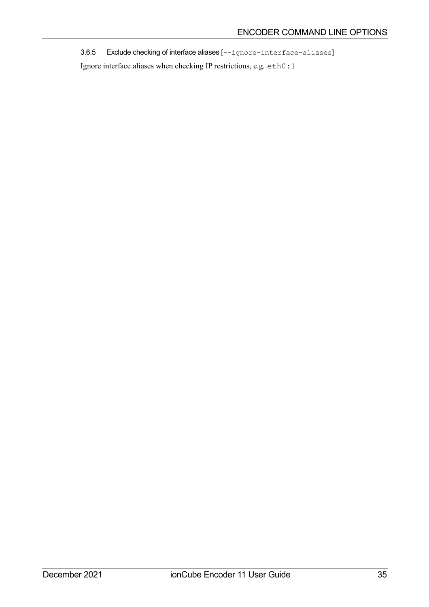<span id="page-34-0"></span>3.6.5 Exclude checking of interface aliases [--ignore-interface-aliases]

Ignore interface aliases when checking IP restrictions, e.g. eth0:1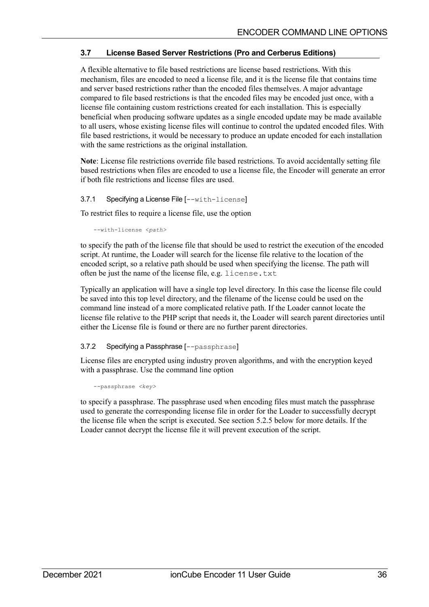# <span id="page-35-2"></span>**3.7 License Based Server Restrictions (Pro and Cerberus Editions)**

A flexible alternative to file based restrictions are license based restrictions. With this mechanism, files are encoded to need a license file, and it is the license file that contains time and server based restrictions rather than the encoded files themselves. A major advantage compared to file based restrictions is that the encoded files may be encoded just once, with a license file containing custom restrictions created for each installation. This is especially beneficial when producing software updates as a single encoded update may be made available to all users, whose existing license files will continue to control the updated encoded files. With file based restrictions, it would be necessary to produce an update encoded for each installation with the same restrictions as the original installation.

**Note**: License file restrictions override file based restrictions. To avoid accidentally setting file based restrictions when files are encoded to use a license file, the Encoder will generate an error if both file restrictions and license files are used.

#### <span id="page-35-1"></span>3.7.1 Specifying a License File [--with-license]

To restrict files to require a license file, use the option

--with-license <*path>*

to specify the path of the license file that should be used to restrict the execution of the encoded script. At runtime, the Loader will search for the license file relative to the location of the encoded script, so a relative path should be used when specifying the license. The path will often be just the name of the license file, e.g. license.txt

Typically an application will have a single top level directory. In this case the license file could be saved into this top level directory, and the filename of the license could be used on the command line instead of a more complicated relative path. If the Loader cannot locate the license file relative to the PHP script that needs it, the Loader will search parent directories until either the License file is found or there are no further parent directories.

# <span id="page-35-0"></span>3.7.2 Specifying a Passphrase [--passphrase]

License files are encrypted using industry proven algorithms, and with the encryption keyed with a passphrase. Use the command line option

--passphrase *<key>*

to specify a passphrase. The passphrase used when encoding files must match the passphrase used to generate the corresponding license file in order for the Loader to successfully decrypt the license file when the script is executed. See section [5.2.5](#page-68-1) [below](#page-68-1) for more details. If the Loader cannot decrypt the license file it will prevent execution of the script.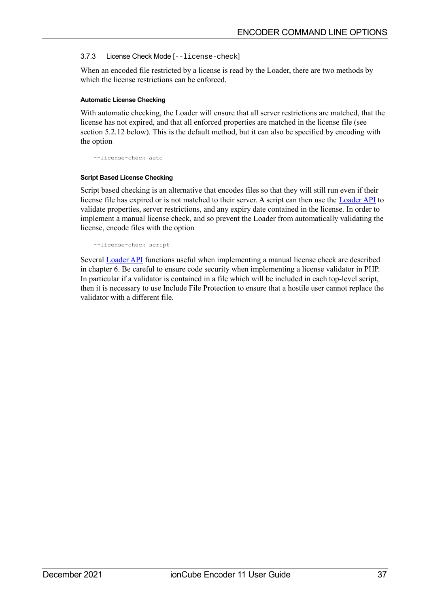## <span id="page-36-0"></span>3.7.3 License Check Mode [--license-check]

When an encoded file restricted by a license is read by the Loader, there are two methods by which the license restrictions can be enforced.

#### **Automatic License Checking**

With automatic checking, the Loader will ensure that all server restrictions are matched, that the license has not expired, and that all enforced properties are matched in the license file (see section [5.2.12](#page-70-0) [below\)](#page-70-0). This is the default method, but it can also be specified by encoding with the option

--license-check auto

#### **Script Based License Checking**

Script based checking is an alternative that encodes files so that they will still run even if their license file has expired or is not matched to their server. A script can then use the [Loader API](#page-74-0) to validate properties, server restrictions, and any expiry date contained in the license. In order to implement a manual license check, and so prevent the Loader from automatically validating the license, encode files with the option

--license-check script

Several **Loader API** functions useful when implementing a manual license check are described in chapter [6.](#page-74-0) Be careful to ensure code security when implementing a license validator in PHP. In particular if a validator is contained in a file which will be included in each top-level script, then it is necessary to use Include File Protection to ensure that a hostile user cannot replace the validator with a different file.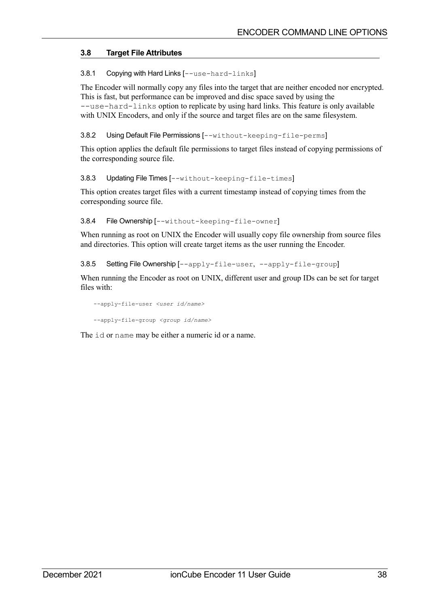# **3.8 Target File Attributes**

3.8.1 Copying with Hard Links [--use-hard-links]

The Encoder will normally copy any files into the target that are neither encoded nor encrypted. This is fast, but performance can be improved and disc space saved by using the --use-hard-links option to replicate by using hard links. This feature is only available with UNIX Encoders, and only if the source and target files are on the same filesystem.

3.8.2 Using Default File Permissions [--without-keeping-file-perms]

This option applies the default file permissions to target files instead of copying permissions of the corresponding source file.

3.8.3 Updating File Times [--without-keeping-file-times]

This option creates target files with a current timestamp instead of copying times from the corresponding source file.

3.8.4 File Ownership [--without-keeping-file-owner]

When running as root on UNIX the Encoder will usually copy file ownership from source files and directories. This option will create target items as the user running the Encoder.

3.8.5 Setting File Ownership [--apply-file-user, --apply-file-group]

When running the Encoder as root on UNIX, different user and group IDs can be set for target files with:

--apply-file-user *<user id/name>* --apply-file-group *<group id/name>*

The id or name may be either a numeric id or a name.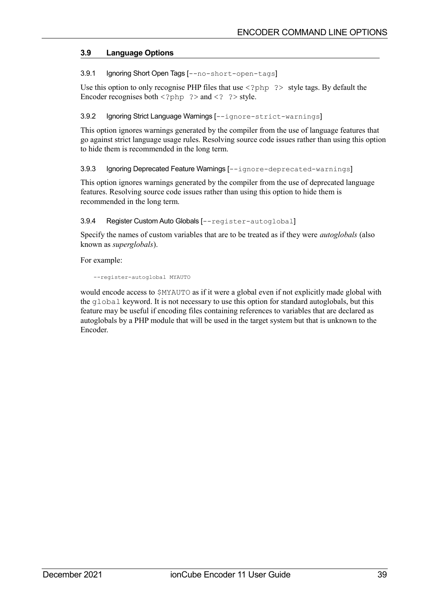# **3.9 Language Options**

3.9.1 Ignoring Short Open Tags [--no-short-open-tags]

Use this option to only recognise PHP files that use  $\langle$ ?php ?> style tags. By default the Encoder recognises both  $\langle ? \rangle$  and  $\langle ? \rangle$  and  $\langle ? \rangle$  style.

# 3.9.2 Ignoring Strict Language Warnings [--ignore-strict-warnings]

This option ignores warnings generated by the compiler from the use of language features that go against strict language usage rules. Resolving source code issues rather than using this option to hide them is recommended in the long term.

# 3.9.3 Ignoring Deprecated Feature Warnings [--ignore-deprecated-warnings]

This option ignores warnings generated by the compiler from the use of deprecated language features. Resolving source code issues rather than using this option to hide them is recommended in the long term.

# 3.9.4 Register Custom Auto Globals [--register-autoglobal]

Specify the names of custom variables that are to be treated as if they were *autoglobals* (also known as *superglobals*).

For example:

```
--register-autoglobal MYAUTO
```
would encode access to \$MYAUTO as if it were a global even if not explicitly made global with the global keyword. It is not necessary to use this option for standard autoglobals, but this feature may be useful if encoding files containing references to variables that are declared as autoglobals by a PHP module that will be used in the target system but that is unknown to the Encoder.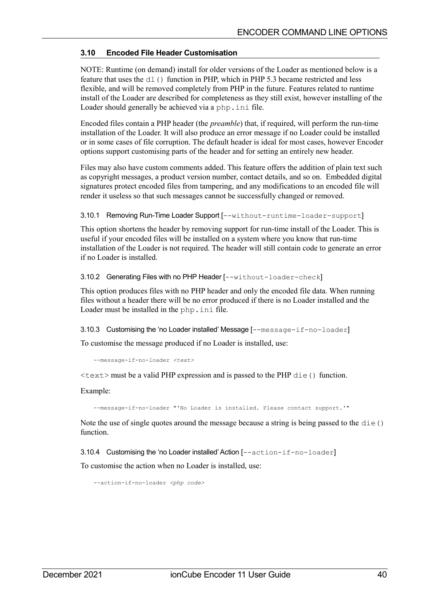# **3.10 Encoded File Header Customisation**

NOTE: Runtime (on demand) install for older versions of the Loader as mentioned below is a feature that uses the dl() function in PHP, which in PHP 5.3 became restricted and less flexible, and will be removed completely from PHP in the future. Features related to runtime install of the Loader are described for completeness as they still exist, however installing of the Loader should generally be achieved via a php.ini file.

Encoded files contain a PHP header (the *preamble*) that, if required, will perform the run-time installation of the Loader. It will also produce an error message if no Loader could be installed or in some cases of file corruption. The default header is ideal for most cases, however Encoder options support customising parts of the header and for setting an entirely new header.

Files may also have custom comments added. This feature offers the addition of plain text such as copyright messages, a product version number, contact details, and so on. Embedded digital signatures protect encoded files from tampering, and any modifications to an encoded file will render it useless so that such messages cannot be successfully changed or removed.

3.10.1 Removing Run-Time Loader Support [--without-runtime-loader-support]

This option shortens the header by removing support for run-time install of the Loader. This is useful if your encoded files will be installed on a system where you know that run-time installation of the Loader is not required. The header will still contain code to generate an error if no Loader is installed.

3.10.2 Generating Files with no PHP Header [--without-loader-check]

This option produces files with no PHP header and only the encoded file data. When running files without a header there will be no error produced if there is no Loader installed and the Loader must be installed in the php.ini file.

3.10.3 Customising the 'no Loader installed' Message [--message-if-no-loader]

To customise the message produced if no Loader is installed, use:

--message-if-no-loader *<text>*

 $\text{3}$  <text > must be a valid PHP expression and is passed to the PHP die() function.

Example:

--message-if-no-loader "'No Loader is installed. Please contact support.'"

Note the use of single quotes around the message because a string is being passed to the  $\text{die}(t)$ function.

3.10.4 Customising the 'no Loader installed' Action [--action-if-no-loader]

To customise the action when no Loader is installed, use:

--action-if-no-loader *<php code>*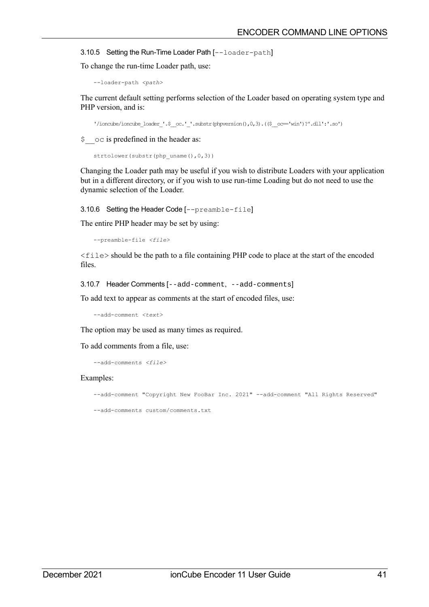3.10.5 Setting the Run-Time Loader Path [--loader-path]

To change the run-time Loader path, use:

```
--loader-path <path>
```
The current default setting performs selection of the Loader based on operating system type and PHP version, and is:

```
'/ioncube/ioncube_loader_'.$_oc.'_'.substr(phpversion(),0,3).(($_oc="win')?'.dll':'.so')
```
\$  $\circ$  oc is predefined in the header as:

```
strtolower(substr(php_uname(),0,3))
```
Changing the Loader path may be useful if you wish to distribute Loaders with your application but in a different directory, or if you wish to use run-time Loading but do not need to use the dynamic selection of the Loader.

3.10.6 Setting the Header Code [--preamble-file]

The entire PHP header may be set by using:

```
--preamble-file <file>
```
<file> should be the path to a file containing PHP code to place at the start of the encoded files.

3.10.7 Header Comments [--add-comment, --add-comments]

To add text to appear as comments at the start of encoded files, use:

--add-comment *<text>*

The option may be used as many times as required.

To add comments from a file, use:

--add-comments *<file>*

#### Examples:

--add-comment "Copyright New FooBar Inc. 2021" --add-comment "All Rights Reserved"

--add-comments custom/comments.txt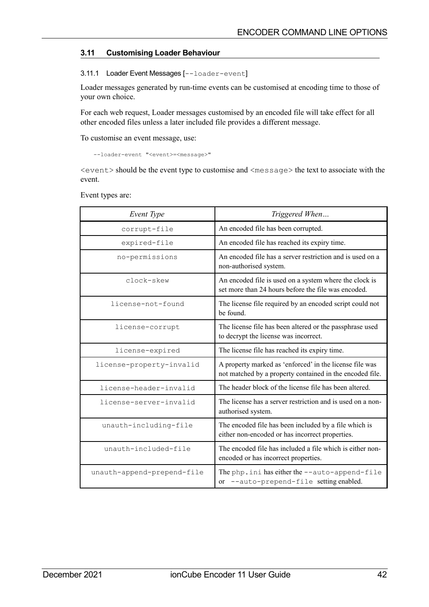# **3.11 Customising Loader Behaviour**

## 3.11.1 Loader Event Messages [--loader-event]

Loader messages generated by run-time events can be customised at encoding time to those of your own choice.

For each web request, Loader messages customised by an encoded file will take effect for all other encoded files unless a later included file provides a different message.

To customise an event message, use:

--loader-event "<event>=<message>"

 $\le$  event  $\ge$  should be the event type to customise and  $\le$  message $\ge$  the text to associate with the event.

| Event Type                 | Triggered When                                                                                                      |  |
|----------------------------|---------------------------------------------------------------------------------------------------------------------|--|
| corrupt-file               | An encoded file has been corrupted.                                                                                 |  |
| expired-file               | An encoded file has reached its expiry time.                                                                        |  |
| no-permissions             | An encoded file has a server restriction and is used on a<br>non-authorised system.                                 |  |
| clock-skew                 | An encoded file is used on a system where the clock is<br>set more than 24 hours before the file was encoded.       |  |
| license-not-found          | The license file required by an encoded script could not<br>be found.                                               |  |
| license-corrupt            | The license file has been altered or the passphrase used<br>to decrypt the license was incorrect.                   |  |
| license-expired            | The license file has reached its expiry time.                                                                       |  |
| license-property-invalid   | A property marked as 'enforced' in the license file was<br>not matched by a property contained in the encoded file. |  |
| license-header-invalid     | The header block of the license file has been altered.                                                              |  |
| license-server-invalid     | The license has a server restriction and is used on a non-<br>authorised system.                                    |  |
| unauth-including-file      | The encoded file has been included by a file which is<br>either non-encoded or has incorrect properties.            |  |
| unauth-included-file       | The encoded file has included a file which is either non-<br>encoded or has incorrect properties.                   |  |
| unauth-append-prepend-file | The php. ini has either the --auto-append-file<br>or --auto-prepend-file setting enabled.                           |  |

Event types are: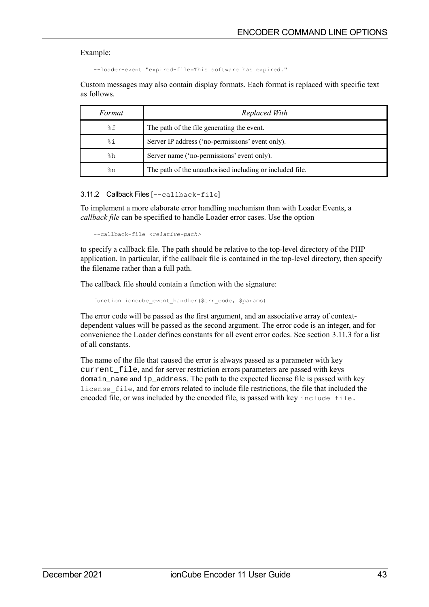#### Example:

--loader-event "expired-file=This software has expired."

Custom messages may also contain display formats. Each format is replaced with specific text as follows.

| Format         | Replaced With                                            |  |
|----------------|----------------------------------------------------------|--|
| $\frac{8}{2}f$ | The path of the file generating the event.               |  |
| %i             | Server IP address ('no-permissions' event only).         |  |
| $h^2$          | Server name ('no-permissions' event only).               |  |
| $\frac{6}{6}n$ | The path of the unauthorised including or included file. |  |

3.11.2 Callback Files [--callback-file]

To implement a more elaborate error handling mechanism than with Loader Events, a *callback file* can be specified to handle Loader error cases. Use the option

--callback-file *<relative-path>*

to specify a callback file. The path should be relative to the top-level directory of the PHP application. In particular, if the callback file is contained in the top-level directory, then specify the filename rather than a full path.

The callback file should contain a function with the signature:

function ioncube event handler(\$err\_code, \$params)

The error code will be passed as the first argument, and an associative array of contextdependent values will be passed as the second argument. The error code is an integer, and for convenience the Loader defines constants for all event error codes. See section [3.11.3](#page-43-0) for a list of all constants.

The name of the file that caused the error is always passed as a parameter with key current file, and for server restriction errors parameters are passed with keys domain\_name and ip\_address. The path to the expected license file is passed with key license\_file, and for errors related to include file restrictions, the file that included the encoded file, or was included by the encoded file, is passed with key include\_file.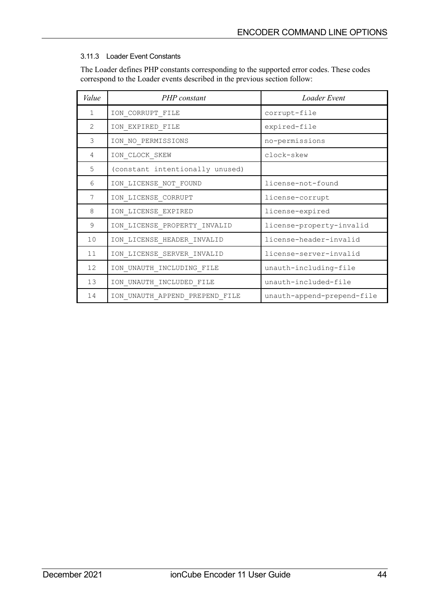# <span id="page-43-0"></span>3.11.3 Loader Event Constants

The Loader defines PHP constants corresponding to the supported error codes. These codes correspond to the Loader events described in the previous section follow:

| Value | PHP constant                    | Loader Event               |
|-------|---------------------------------|----------------------------|
| 1     | ION CORRUPT FILE                | corrupt-file               |
| 2     | ION_EXPIRED_FILE                | expired-file               |
| 3     | ION NO PERMISSIONS              | no-permissions             |
| 4     | ION CLOCK SKEW                  | clock-skew                 |
| 5     | (constant intentionally unused) |                            |
| 6     | ION LICENSE NOT FOUND           | license-not-found          |
| 7     | ION LICENSE CORRUPT             | license-corrupt            |
| 8     | ION LICENSE EXPIRED             | license-expired            |
| 9     | ION_LICENSE_PROPERTY_INVALID    | license-property-invalid   |
| 10    | ION_LICENSE_HEADER_INVALID      | license-header-invalid     |
| 11    | ION_LICENSE_SERVER_INVALID      | license-server-invalid     |
| 12    | ION_UNAUTH_INCLUDING_FILE       | unauth-including-file      |
| 13    | ION UNAUTH INCLUDED FILE        | unauth-included-file       |
| 14    | ION UNAUTH APPEND PREPEND FILE  | unauth-append-prepend-file |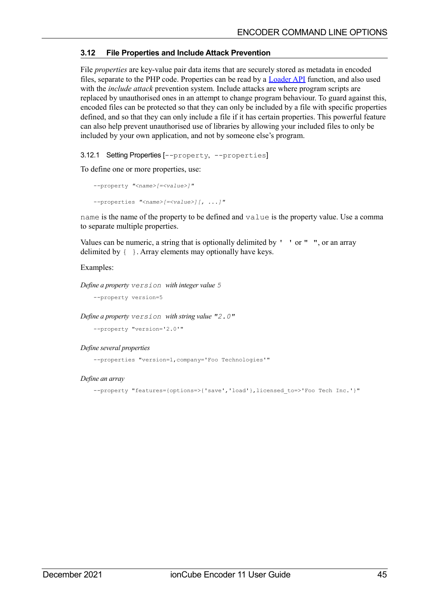# **3.12 File Properties and Include Attack Prevention**

File *properties* are key-value pair data items that are securely stored as metadata in encoded files, separate to the PHP code. Properties can be read by a **Loader API** function, and also used with the *include attack* prevention system. Include attacks are where program scripts are replaced by unauthorised ones in an attempt to change program behaviour. To guard against this, encoded files can be protected so that they can only be included by a file with specific properties defined, and so that they can only include a file if it has certain properties. This powerful feature can also help prevent unauthorised use of libraries by allowing your included files to only be included by your own application, and not by someone else's program.

<span id="page-44-0"></span>3.12.1 Setting Properties [--property, --properties]

To define one or more properties, use:

```
--property "<name>[=<value>]"
--properties "<name>[=<value>][, ...]"
```
name is the name of the property to be defined and value is the property value. Use a comma to separate multiple properties.

Values can be numeric, a string that is optionally delimited by  $'$  ' or " ", or an array delimited by { }. Array elements may optionally have keys.

# Examples:

*Define a property version with integer value 5*

--property version=5

*Define a property version with string value "2.0"*

--property "version='2.0'"

### *Define several properties*

--properties "version=1,company='Foo Technologies'"

### *Define an array*

--property "features={options=>{'save','load'},licensed to=>'Foo Tech Inc.'}"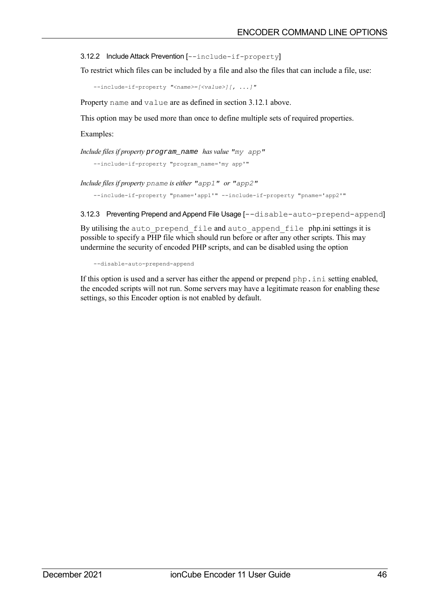3.12.2 Include Attack Prevention [--include-if-property]

To restrict which files can be included by a file and also the files that can include a file, use:

--include-if-property *"<name>=[<value>][, ...]"*

Property name and value are as defined in section [3.12.1](#page-44-0) [above.](#page-44-0)

This option may be used more than once to define multiple sets of required properties.

Examples:

*Include files if property* program\_name *has value "my app"*

--include-if-property "program\_name='my app'"

*Include files if property pname is either "app1" or "app2"*

--include-if-property "pname='app1'" --include-if-property "pname='app2'"

3.12.3 Preventing Prepend and Append File Usage [--disable-auto-prepend-append]

By utilising the auto prepend file and auto append file php.ini settings it is possible to specify a PHP file which should run before or after any other scripts. This may undermine the security of encoded PHP scripts, and can be disabled using the option

--disable-auto-prepend-append

If this option is used and a server has either the append or prepend php.ini setting enabled, the encoded scripts will not run. Some servers may have a legitimate reason for enabling these settings, so this Encoder option is not enabled by default.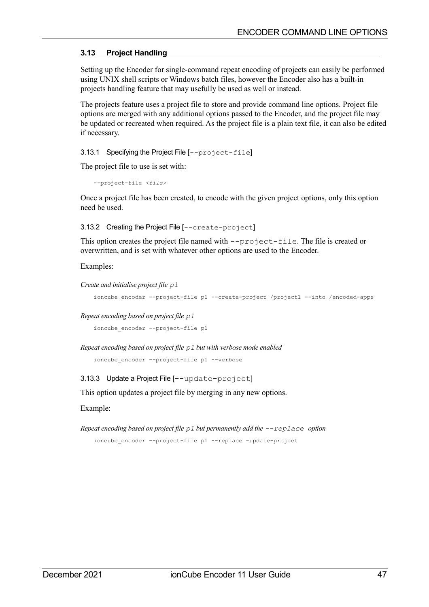# **3.13 Project Handling**

Setting up the Encoder for single-command repeat encoding of projects can easily be performed using UNIX shell scripts or Windows batch files, however the Encoder also has a built-in projects handling feature that may usefully be used as well or instead.

The projects feature uses a project file to store and provide command line options. Project file options are merged with any additional options passed to the Encoder, and the project file may be updated or recreated when required. As the project file is a plain text file, it can also be edited if necessary.

3.13.1 Specifying the Project File [--project-file]

The project file to use is set with:

--project-file *<file>*

Once a project file has been created, to encode with the given project options, only this option need be used.

3.13.2 Creating the Project File [--create-project]

This option creates the project file named with  $-\text{project-file}$ . The file is created or overwritten, and is set with whatever other options are used to the Encoder.

Examples:

*Create and initialise project file p1*

ioncube\_encoder --project-file p1 --create-project /project1 --into /encoded-apps

*Repeat encoding based on project file p1*

ioncube encoder --project-file p1

*Repeat encoding based on project file p1 but with verbose mode enabled*

```
ioncube encoder --project-file p1 --verbose
```
3.13.3 Update a Project File [--update-project]

This option updates a project file by merging in any new options.

Example:

```
Repeat encoding based on project file p1 but permanently add the --replace option
```
ioncube encoder --project-file p1 --replace -update-project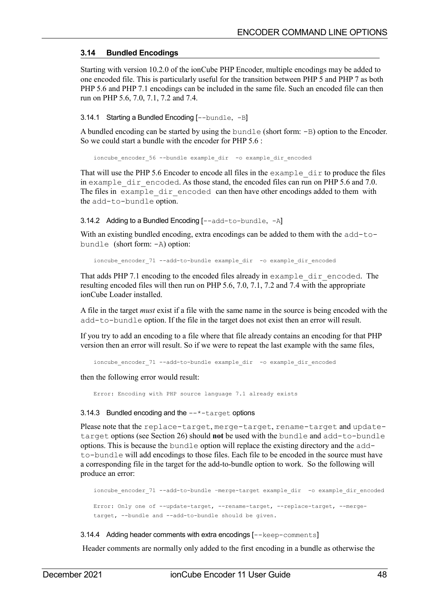# **3.14 Bundled Encodings**

Starting with version 10.2.0 of the ionCube PHP Encoder, multiple encodings may be added to one encoded file. This is particularly useful for the transition between PHP 5 and PHP 7 as both PHP 5.6 and PHP 7.1 encodings can be included in the same file. Such an encoded file can then run on PHP 5.6, 7.0, 7.1, 7.2 and 7.4.

3.14.1 Starting a Bundled Encoding [--bundle, -B]

A bundled encoding can be started by using the bundle (short form: -B) option to the Encoder. So we could start a bundle with the encoder for PHP 5.6 :

ioncube encoder 56 --bundle example dir -o example dir encoded

That will use the PHP 5.6 Encoder to encode all files in the  $\alpha$  example  $\alpha$  dir to produce the files in example dir encoded. As those stand, the encoded files can run on PHP 5.6 and 7.0. The files in example dir encoded can then have other encodings added to them with the add-to-bundle option.

3.14.2 Adding to a Bundled Encoding [--add-to-bundle, -A]

With an existing bundled encoding, extra encodings can be added to them with the add-tobundle (short form: -A) option:

ioncube encoder 71 --add-to-bundle example dir -o example dir encoded

That adds PHP 7.1 encoding to the encoded files already in example dir encoded. The resulting encoded files will then run on PHP 5.6, 7.0, 7.1, 7.2 and 7.4 with the appropriate ionCube Loader installed.

A file in the target *must* exist if a file with the same name in the source is being encoded with the add-to-bundle option. If the file in the target does not exist then an error will result.

If you try to add an encoding to a file where that file already contains an encoding for that PHP version then an error will result. So if we were to repeat the last example with the same files,

ioncube encoder 71 --add-to-bundle example dir -o example dir encoded

then the following error would result:

Error: Encoding with PHP source language 7.1 already exists

### 3.14.3 Bundled encoding and the  $-\alpha$ <sup>+</sup>-target options

Please note that the replace-target, merge-target, rename-target and updatetarget options (see Section [26\)](#page-25-0) should **not** be used with the bundle and add-to-bundle options. This is because the bundle option will replace the existing directory and the addto-bundle will add encodings to those files. Each file to be encoded in the source must have a corresponding file in the target for the add-to-bundle option to work. So the following will produce an error:

```
ioncube_encoder_71 --add-to-bundle –merge-target example_dir -o example_dir_encoded
Error: Only one of --update-target, --rename-target, --replace-target, --merge-
target, --bundle and --add-to-bundle should be given.
```
### 3.14.4 Adding header comments with extra encodings [--keep-comments]

Header comments are normally only added to the first encoding in a bundle as otherwise the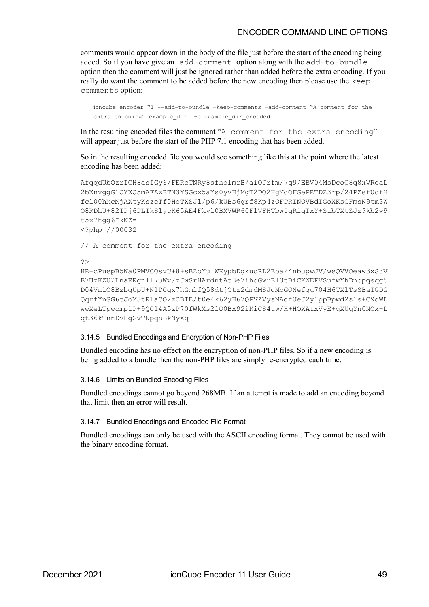comments would appear down in the body of the file just before the start of the encoding being added. So if you have give an add-comment option along with the add-to-bundle option then the comment will just be ignored rather than added before the extra encoding. If you really do want the comment to be added before the new encoding then please use the keepcomments option:

```
ioncube encoder 71 --add-to-bundle -keep-comments -add-comment "A comment for the
extra encoding" example dir -o example dir encoded
```
In the resulting encoded files the comment "A comment for the extra encoding" will appear just before the start of the PHP 7.1 encoding that has been added.

So in the resulting encoded file you would see something like this at the point where the latest encoding has been added:

```
AfqqdUbOzrICH8asIGy6/FERcTNRy8sfholmrB/aiQJrfm/7q9/EBV04MsDcoQ8q8xVReaL
2bXnvggG1OYXQ5mAFAzBTN3YSGcx5aYs0yvHjMgT2DO2HgMdOFGePRTDZ3rp/24PZefUofH
fcl00hMcMjAXtyKszeTf0HoTXSJl/p6/kUBs6grf8Kp4zOFPRINQVBdTGoXKsGFmsN9tm3W
O8RDhU+82TPj6PLTkSlycK65AE4Fkyl0BXVWR60FlVFHTbwIqRiqTxY+SibTXtZJz9kb2w9
t5x7hgg6IkNZ=
<?php //00032
```
// A comment for the extra encoding

?>

```
HR+cPuepB5Wa0PMVCOsvU+8+sBZoYulWKypbDgkuoRL2Eoa/4nbupwJV/weQVVOeaw3xS3V
B7UzKZU2LnaERgnll7uWv/zJwSrHArdntAt3e7ihdGwrElUtBiCKWEFVSufwYhDnopqsqg5
D04Vn1O8BzbqUpU+N1DCqx7hGmlfQ58dtjOtz2dmdMSJgMbGONefqu704H6TXlTsSBaTGDG
QqrfYnGG6tJoM8tR1aCO2zCBIE/t0e4k62yH67QPVZVysMAdfUeJ2y1ppBpwd2s1s+C9dWL
wwXeLTpwcmp1P+9QC14A5zP70fWkXs21O0Bx92iKiCS4tw/H+HOXAtxVyE+qXUqYn0NOx+L
qt36kTnnDvEqGvTNpqoBkNyXq
```
### 3.14.5 Bundled Encodings and Encryption of Non-PHP Files

Bundled encoding has no effect on the encryption of non-PHP files. So if a new encoding is being added to a bundle then the non-PHP files are simply re-encrypted each time.

### 3.14.6 Limits on Bundled Encoding Files

Bundled encodings cannot go beyond 268MB. If an attempt is made to add an encoding beyond that limit then an error will result.

### 3.14.7 Bundled Encodings and Encoded File Format

Bundled encodings can only be used with the ASCII encoding format. They cannot be used with the binary encoding format.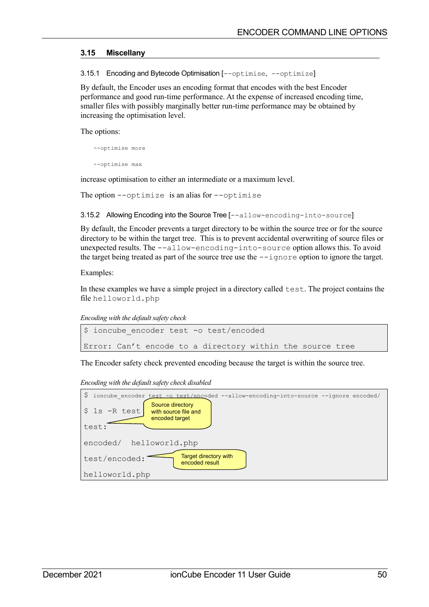## **3.15 Miscellany**

3.15.1 Encoding and Bytecode Optimisation [--optimise, --optimize]

By default, the Encoder uses an encoding format that encodes with the best Encoder performance and good run-time performance. At the expense of increased encoding time, smaller files with possibly marginally better run-time performance may be obtained by increasing the optimisation level.

The options:

--optimise more --optimise max

increase optimisation to either an intermediate or a maximum level.

The option  $--$ optimize is an alias for  $--$ optimise

3.15.2 Allowing Encoding into the Source Tree [--allow-encoding-into-source]

By default, the Encoder prevents a target directory to be within the source tree or for the source directory to be within the target tree. This is to prevent accidental overwriting of source files or unexpected results. The --allow-encoding-into-source option allows this. To avoid the target being treated as part of the source tree use the  $-\text{-i}$ gnore option to ignore the target.

Examples:

In these examples we have a simple project in a directory called test. The project contains the file helloworld.php

*Encoding with the default safety check*

```
$ ioncube encoder test -o test/encoded
Error: Can't encode to a directory within the source tree
```
The Encoder safety check prevented encoding because the target is within the source tree.

*Encoding with the default safety check disabled*

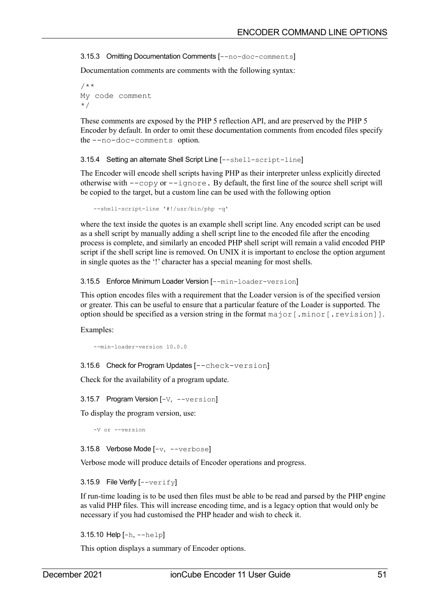3.15.3 Omitting Documentation Comments [--no-doc-comments]

Documentation comments are comments with the following syntax:

/\*\* My code comment \*/

These comments are exposed by the PHP 5 reflection API, and are preserved by the PHP 5 Encoder by default. In order to omit these documentation comments from encoded files specify the --no-doc-comments option.

3.15.4 Setting an alternate Shell Script Line [--shell-script-line]

The Encoder will encode shell scripts having PHP as their interpreter unless explicitly directed otherwise with  $-\text{copy or } -\text{ignore}$ . By default, the first line of the source shell script will be copied to the target, but a custom line can be used with the following option

--shell-script-line '#!/usr/bin/php -q'

where the text inside the quotes is an example shell script line. Any encoded script can be used as a shell script by manually adding a shell script line to the encoded file after the encoding process is complete, and similarly an encoded PHP shell script will remain a valid encoded PHP script if the shell script line is removed. On UNIX it is important to enclose the option argument in single quotes as the '!' character has a special meaning for most shells.

3.15.5 Enforce Minimum Loader Version [--min-loader-version]

This option encodes files with a requirement that the Loader version is of the specified version or greater. This can be useful to ensure that a particular feature of the Loader is supported. The option should be specified as a version string in the format  $\text{major}$  [.minor [.revision]].

Examples:

--min-loader-version 10.0.0

3.15.6 Check for Program Updates [--check-version]

Check for the availability of a program update.

3.15.7 Program Version [-V, --version]

To display the program version, use:

-V or --version

3.15.8 Verbose Mode [-v, --verbose]

Verbose mode will produce details of Encoder operations and progress.

3.15.9 File Verify [--verify]

If run-time loading is to be used then files must be able to be read and parsed by the PHP engine as valid PHP files. This will increase encoding time, and is a legacy option that would only be necessary if you had customised the PHP header and wish to check it.

3.15.10 Help [-h, --help]

This option displays a summary of Encoder options.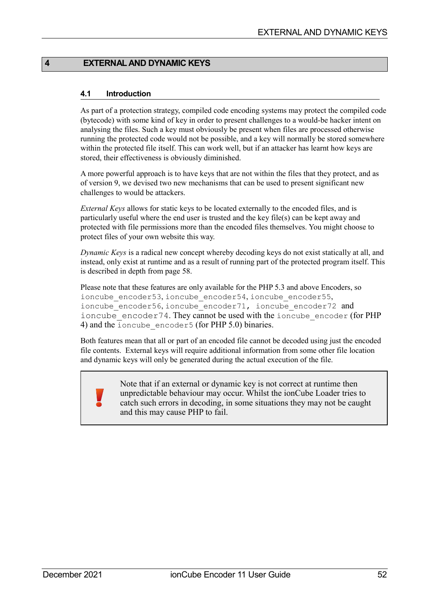# **4 EXTERNAL AND DYNAMIC KEYS**

## **4.1 Introduction**

As part of a protection strategy, compiled code encoding systems may protect the compiled code (bytecode) with some kind of key in order to present challenges to a would-be hacker intent on analysing the files. Such a key must obviously be present when files are processed otherwise running the protected code would not be possible, and a key will normally be stored somewhere within the protected file itself. This can work well, but if an attacker has learnt how keys are stored, their effectiveness is obviously diminished.

A more powerful approach is to have keys that are not within the files that they protect, and as of version 9, we devised two new mechanisms that can be used to present significant new challenges to would be attackers.

*External Keys* allows for static keys to be located externally to the encoded files, and is particularly useful where the end user is trusted and the key file(s) can be kept away and protected with file permissions more than the encoded files themselves. You might choose to protect files of your own website this way.

*Dynamic Keys* is a radical new concept whereby decoding keys do not exist statically at all, and instead, only exist at runtime and as a result of running part of the protected program itself. This is described in depth from page [58.](#page-57-0)

Please note that these features are only available for the PHP 5.3 and above Encoders, so ioncube encoder53, ioncube encoder54, ioncube encoder55, ioncube encoder56, ioncube encoder71, ioncube encoder72 and ioncube  $\epsilon$  encoder74. They cannot be used with the ioncube  $\epsilon$  encoder (for PHP 4) and the ioncube encoder5 (for PHP 5.0) binaries.

Both features mean that all or part of an encoded file cannot be decoded using just the encoded file contents. External keys will require additional information from some other file location and dynamic keys will only be generated during the actual execution of the file.

> Note that if an external or dynamic key is not correct at runtime then unpredictable behaviour may occur. Whilst the ionCube Loader tries to catch such errors in decoding, in some situations they may not be caught and this may cause PHP to fail.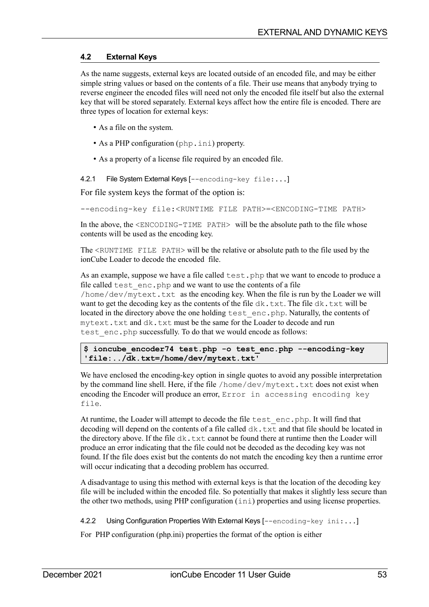## <span id="page-52-0"></span>**4.2 External Keys**

As the name suggests, external keys are located outside of an encoded file, and may be either simple string values or based on the contents of a file. Their use means that anybody trying to reverse engineer the encoded files will need not only the encoded file itself but also the external key that will be stored separately. External keys affect how the entire file is encoded. There are three types of location for external keys:

- As a file on the system.
- As a PHP configuration (php.ini) property.
- As a property of a license file required by an encoded file.

# 4.2.1 File System External Keys [--encoding-key file:...]

For file system keys the format of the option is:

--encoding-key file:<RUNTIME FILE PATH>=<ENCODING-TIME PATH>

In the above, the <ENCODING-TIME PATH> will be the absolute path to the file whose contents will be used as the encoding key.

The <RUNTIME FILE PATH> will be the relative or absolute path to the file used by the ionCube Loader to decode the encoded file.

As an example, suppose we have a file called test. php that we want to encode to produce a file called test\_enc.php and we want to use the contents of a file /home/dev/mytext.txt as the encoding key. When the file is run by the Loader we will want to get the decoding key as the contents of the file dk.txt. The file dk.txt will be located in the directory above the one holding test enc.php. Naturally, the contents of mytext.txt and dk.txt must be the same for the Loader to decode and run test enc.php successfully. To do that we would encode as follows:

### **\$ ioncube\_encoder74 test.php -o test\_enc.php --encoding-key 'file:../dk.txt=/home/dev/mytext.txt'**

We have enclosed the encoding-key option in single quotes to avoid any possible interpretation by the command line shell. Here, if the file  $/$  home $/$  dev $/$ m $y$ text.txt does not exist when encoding the Encoder will produce an error, Error in accessing encoding key file.

At runtime, the Loader will attempt to decode the file test enc.php. It will find that decoding will depend on the contents of a file called  $dk$ .  $txtx t$  and that file should be located in the directory above. If the file  $dk$ .  $txt$  cannot be found there at runtime then the Loader will produce an error indicating that the file could not be decoded as the decoding key was not found. If the file does exist but the contents do not match the encoding key then a runtime error will occur indicating that a decoding problem has occurred.

A disadvantage to using this method with external keys is that the location of the decoding key file will be included within the encoded file. So potentially that makes it slightly less secure than the other two methods, using PHP configuration (ini) properties and using license properties.

4.2.2 Using Configuration Properties With External Keys [--encoding-key ini:...]

For PHP configuration (php.ini) properties the format of the option is either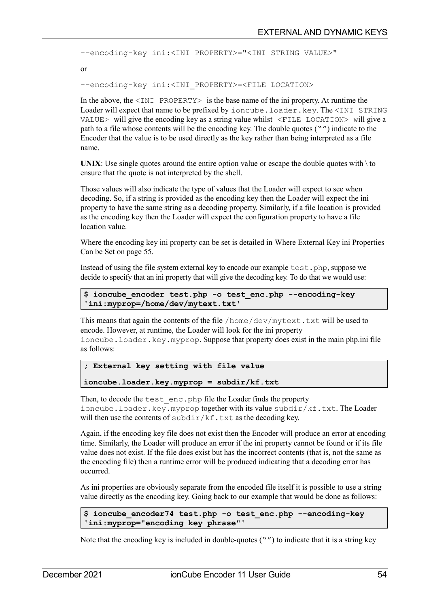```
--encoding-key ini:<INI PROPERTY>="<INI STRING VALUE>"
or
--encoding-key ini:<INI_PROPERTY>=<FILE LOCATION>
```
In the above, the  $\leq$ INI PROPERTY $>$  is the base name of the ini property. At runtime the Loader will expect that name to be prefixed by ioncube.loader.key. The <INI STRING VALUE> will give the encoding key as a string value whilst  $\leq$  FILE LOCATION> will give a path to a file whose contents will be the encoding key. The double quotes ("") indicate to the Encoder that the value is to be used directly as the key rather than being interpreted as a file name.

**UNIX:** Use single quotes around the entire option value or escape the double quotes with  $\iota$  to ensure that the quote is not interpreted by the shell.

Those values will also indicate the type of values that the Loader will expect to see when decoding. So, if a string is provided as the encoding key then the Loader will expect the ini property to have the same string as a decoding property. Similarly, if a file location is provided as the encoding key then the Loader will expect the configuration property to have a file location value.

Where the encoding key ini property can be set is detailed in [Where External Key ini Properties](#page-54-0)  [Can be Set](#page-54-0) on page [55.](#page-54-0)

Instead of using the file system external key to encode our example test.php, suppose we decide to specify that an ini property that will give the decoding key. To do that we would use:

```
$ ioncube_encoder test.php -o test_enc.php --encoding-key 
'ini:myprop=/home/dev/mytext.txt'
```
This means that again the contents of the file /home/dev/mytext.txt will be used to encode. However, at runtime, the Loader will look for the ini property ioncube.loader.key.myprop. Suppose that property does exist in the main php.ini file as follows:

```
; External key setting with file value
ioncube.loader.key.myprop = subdir/kf.txt
```
Then, to decode the test enc.php file the Loader finds the property ioncube.loader.key.myprop together with its value subdir/kf.txt. The Loader will then use the contents of  $\text{subdir}/\text{kf}$ . txt as the decoding key.

Again, if the encoding key file does not exist then the Encoder will produce an error at encoding time. Similarly, the Loader will produce an error if the ini property cannot be found or if its file value does not exist. If the file does exist but has the incorrect contents (that is, not the same as the encoding file) then a runtime error will be produced indicating that a decoding error has occurred.

As ini properties are obviously separate from the encoded file itself it is possible to use a string value directly as the encoding key. Going back to our example that would be done as follows:

```
$ ioncube_encoder74 test.php -o test_enc.php --encoding-key 
'ini:myprop="encoding key phrase"'
```
Note that the encoding key is included in double-quotes  $("")$  to indicate that it is a string key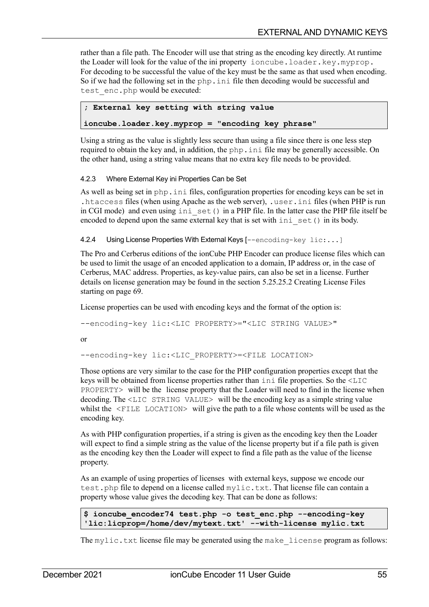rather than a file path. The Encoder will use that string as the encoding key directly. At runtime the Loader will look for the value of the ini property ioncube.loader.key.myprop. For decoding to be successful the value of the key must be the same as that used when encoding. So if we had the following set in the php.ini file then decoding would be successful and test enc.php would be executed:

```
; External key setting with string value
```
**ioncube.loader.key.myprop = "encoding key phrase"**

Using a string as the value is slightly less secure than using a file since there is one less step required to obtain the key and, in addition, the php.ini file may be generally accessible. On the other hand, using a string value means that no extra key file needs to be provided.

## <span id="page-54-0"></span>4.2.3 Where External Key ini Properties Can be Set

As well as being set in php. ini files, configuration properties for encoding keys can be set in .htaccess files (when using Apache as the web server), .user.ini files (when PHP is run in CGI mode) and even using ini set() in a PHP file. In the latter case the PHP file itself be encoded to depend upon the same external key that is set with  $\text{ini}$  set() in its body.

4.2.4 Using License Properties With External Keys [--encoding-key lic:...]

The Pro and Cerberus editions of the ionCube PHP Encoder can produce license files which can be used to limit the usage of an encoded application to a domain, IP address or, in the case of Cerberus, MAC address. Properties, as key-value pairs, can also be set in a license. Further details on license generation may be found in the section [5.25.25.2](#page-68-0) [Creating License Files](#page-68-0) starting on page [69.](#page-68-0)

License properties can be used with encoding keys and the format of the option is:

--encoding-key lic:<LIC PROPERTY>="<LIC STRING VALUE>"

or

--encoding-key lic:<LIC PROPERTY>=<FILE LOCATION>

Those options are very similar to the case for the PHP configuration properties except that the keys will be obtained from license properties rather than ini file properties. So the <LIC PROPERTY> will be the license property that the Loader will need to find in the license when decoding. The <LIC STRING VALUE> will be the encoding key as a simple string value whilst the <FILE LOCATION> will give the path to a file whose contents will be used as the encoding key.

As with PHP configuration properties, if a string is given as the encoding key then the Loader will expect to find a simple string as the value of the license property but if a file path is given as the encoding key then the Loader will expect to find a file path as the value of the license property.

As an example of using properties of licenses with external keys, suppose we encode our test.php file to depend on a license called mylic.txt. That license file can contain a property whose value gives the decoding key. That can be done as follows:

```
$ ioncube_encoder74 test.php -o test_enc.php --encoding-key 
'lic:licprop=/home/dev/mytext.txt' --with-license mylic.txt
```
The  $mylic.txt$  license file may be generated using the make license program as follows: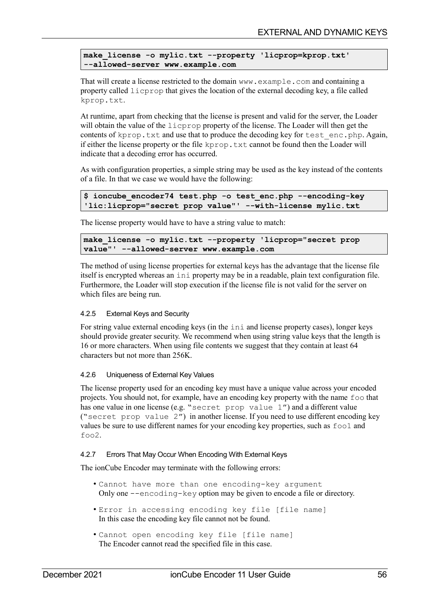```
make_license -o mylic.txt --property 'licprop=kprop.txt' 
--allowed-server www.example.com
```
That will create a license restricted to the domain www.example.com and containing a property called licprop that gives the location of the external decoding key, a file called kprop.txt.

At runtime, apart from checking that the license is present and valid for the server, the Loader will obtain the value of the licprop property of the license. The Loader will then get the contents of kprop.txt and use that to produce the decoding key for test  $enc.\text{php. Again}$ , if either the license property or the file kprop.txt cannot be found then the Loader will indicate that a decoding error has occurred.

As with configuration properties, a simple string may be used as the key instead of the contents of a file. In that we case we would have the following:

```
$ ioncube_encoder74 test.php -o test_enc.php --encoding-key 
'lic:licprop="secret prop value"' --with-license mylic.txt
```
The license property would have to have a string value to match:

```
make_license -o mylic.txt --property 'licprop="secret prop 
value"' --allowed-server www.example.com
```
The method of using license properties for external keys has the advantage that the license file itself is encrypted whereas an ini property may be in a readable, plain text configuration file. Furthermore, the Loader will stop execution if the license file is not valid for the server on which files are being run.

### 4.2.5 External Keys and Security

For string value external encoding keys (in the ini and license property cases), longer keys should provide greater security. We recommend when using string value keys that the length is 16 or more characters. When using file contents we suggest that they contain at least 64 characters but not more than 256K.

### 4.2.6 Uniqueness of External Key Values

The license property used for an encoding key must have a unique value across your encoded projects. You should not, for example, have an encoding key property with the name foo that has one value in one license (e.g. "secret prop value 1") and a different value ("secret prop value 2") in another license. If you need to use different encoding key values be sure to use different names for your encoding key properties, such as foo1 and foo2.

### 4.2.7 Errors That May Occur When Encoding With External Keys

The ionCube Encoder may terminate with the following errors:

- Cannot have more than one encoding-key argument Only one --encoding-key option may be given to encode a file or directory.
- Error in accessing encoding key file [file name] In this case the encoding key file cannot not be found.
- Cannot open encoding key file [file name] The Encoder cannot read the specified file in this case.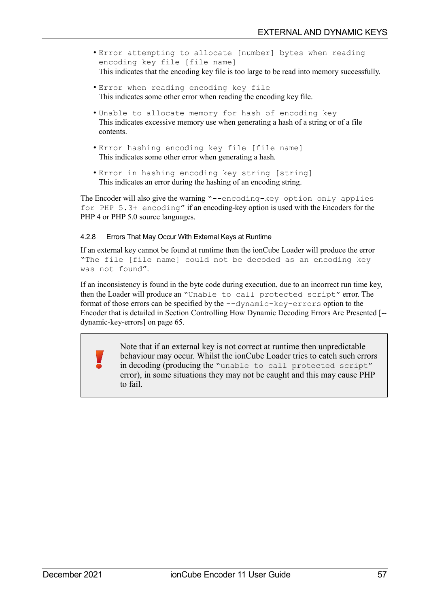- Error attempting to allocate [number] bytes when reading encoding key file [file name] This indicates that the encoding key file is too large to be read into memory successfully.
- Error when reading encoding key file This indicates some other error when reading the encoding key file.
- Unable to allocate memory for hash of encoding key This indicates excessive memory use when generating a hash of a string or of a file contents.
- Error hashing encoding key file [file name] This indicates some other error when generating a hash.
- Error in hashing encoding key string [string] This indicates an error during the hashing of an encoding string.

The Encoder will also give the warning "--encoding-key option only applies for PHP 5.3+ encoding" if an encoding-key option is used with the Encoders for the PHP 4 or PHP 5.0 source languages.

## 4.2.8 Errors That May Occur With External Keys at Runtime

If an external key cannot be found at runtime then the ionCube Loader will produce the error "The file [file name] could not be decoded as an encoding key was not found".

If an inconsistency is found in the byte code during execution, due to an incorrect run time key, then the Loader will produce an "Unable to call protected script" error. The format of those errors can be specified by the --dynamic-key-errors option to the Encoder that is detailed in Section [Controlling How Dynamic Decoding Errors Are Presented \[-](#page-64-0) [dynamic-key-errors\]](#page-64-0) on page [65.](#page-64-0)

> Note that if an external key is not correct at runtime then unpredictable behaviour may occur. Whilst the ionCube Loader tries to catch such errors in decoding (producing the "unable to call protected script" error), in some situations they may not be caught and this may cause PHP to fail.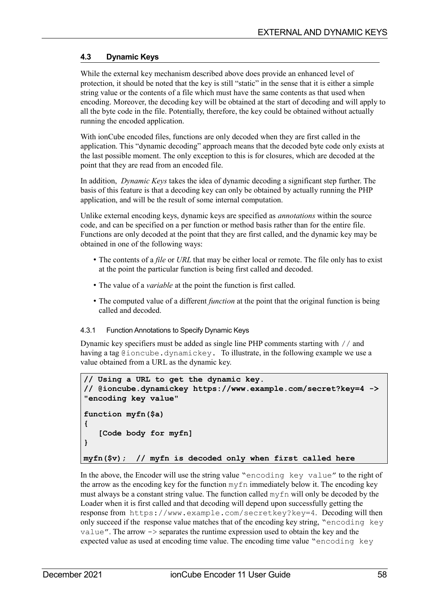# <span id="page-57-0"></span>**4.3 Dynamic Keys**

While the external key mechanism described above does provide an enhanced level of protection, it should be noted that the key is still "static" in the sense that it is either a simple string value or the contents of a file which must have the same contents as that used when encoding. Moreover, the decoding key will be obtained at the start of decoding and will apply to all the byte code in the file. Potentially, therefore, the key could be obtained without actually running the encoded application.

With ionCube encoded files, functions are only decoded when they are first called in the application. This "dynamic decoding" approach means that the decoded byte code only exists at the last possible moment. The only exception to this is for closures, which are decoded at the point that they are read from an encoded file.

In addition, *Dynamic Keys* takes the idea of dynamic decoding a significant step further. The basis of this feature is that a decoding key can only be obtained by actually running the PHP application, and will be the result of some internal computation.

Unlike external encoding keys, dynamic keys are specified as *annotations* within the source code, and can be specified on a per function or method basis rather than for the entire file. Functions are only decoded at the point that they are first called, and the dynamic key may be obtained in one of the following ways:

- The contents of a *file* or *URL* that may be either local or remote. The file only has to exist at the point the particular function is being first called and decoded.
- The value of a *variable* at the point the function is first called.
- The computed value of a different *function* at the point that the original function is being called and decoded.

### 4.3.1 Function Annotations to Specify Dynamic Keys

Dynamic key specifiers must be added as single line PHP comments starting with // and having a tag @ioncube.dynamickey. To illustrate, in the following example we use a value obtained from a URL as the dynamic key.

```
// Using a URL to get the dynamic key.
// @ioncube.dynamickey https://www.example.com/secret?key=4 -> 
"encoding key value"
function myfn($a)
{
    [Code body for myfn]
}
myfn($v); // myfn is decoded only when first called here
```
In the above, the Encoder will use the string value "encoding key value" to the right of the arrow as the encoding key for the function myfn immediately below it. The encoding key must always be a constant string value. The function called  $myfn$  will only be decoded by the Loader when it is first called and that decoding will depend upon successfully getting the response from https://www.example.com/secretkey?key=4. Decoding will then only succeed if the response value matches that of the encoding key string, "encoding key  $value$ . The arrow  $\rightarrow$  separates the runtime expression used to obtain the key and the expected value as used at encoding time value. The encoding time value "encoding key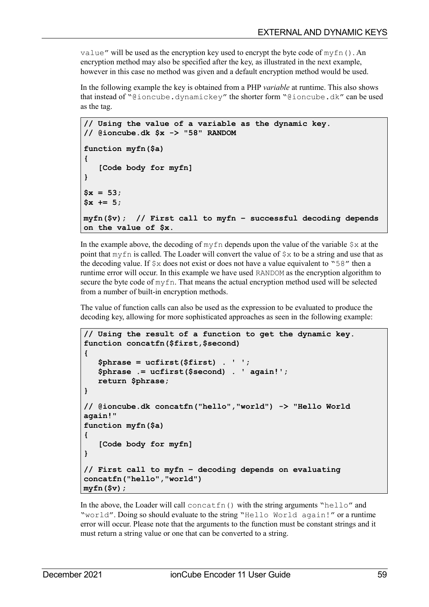value" will be used as the encryption key used to encrypt the byte code of  $m\text{vfn}()$ . An encryption method may also be specified after the key, as illustrated in the next example, however in this case no method was given and a default encryption method would be used.

In the following example the key is obtained from a PHP *variable* at runtime. This also shows that instead of "@ioncube.dynamickey" the shorter form "@ioncube.dk" can be used as the tag.

```
// Using the value of a variable as the dynamic key.
// @ioncube.dk $x -> "58" RANDOM
function myfn($a)
{
    [Code body for myfn]
}
$x = 53;
$x += 5;
myfn($v); // First call to myfn – successful decoding depends 
on the value of $x.
```
In the example above, the decoding of  $myfn$  depends upon the value of the variable  $\zeta x$  at the point that myfn is called. The Loader will convert the value of  $\zeta$  x to be a string and use that as the decoding value. If  $\frac{1}{5}x$  does not exist or does not have a value equivalent to "58" then a runtime error will occur. In this example we have used RANDOM as the encryption algorithm to secure the byte code of myfn. That means the actual encryption method used will be selected from a number of built-in encryption methods.

The value of function calls can also be used as the expression to be evaluated to produce the decoding key, allowing for more sophisticated approaches as seen in the following example:

```
// Using the result of a function to get the dynamic key.
function concatfn($first,$second)
{
    $phrase = ucfirst($first) . ' ';
    $phrase .= ucfirst($second) . ' again!';
    return $phrase;
}
// @ioncube.dk concatfn("hello","world") -> "Hello World 
again!"
function myfn($a)
{
    [Code body for myfn]
}
// First call to myfn – decoding depends on evaluating 
concatfn("hello","world")
myfn($v);
```
In the above, the Loader will call concatin() with the string arguments "hello" and "world". Doing so should evaluate to the string "Hello World again!" or a runtime error will occur. Please note that the arguments to the function must be constant strings and it must return a string value or one that can be converted to a string.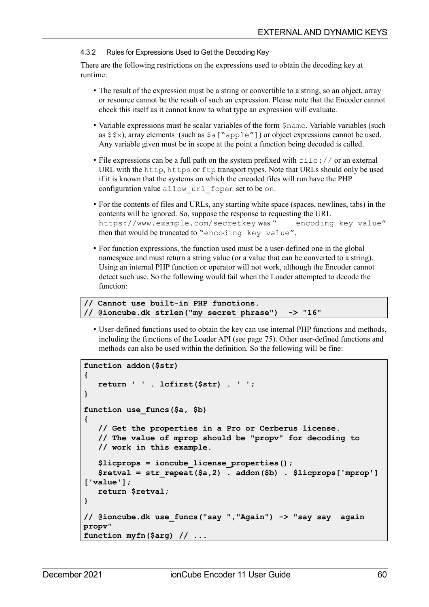#### 4.3.2 Rules for Expressions Used to Get the Decoding Key

There are the following restrictions on the expressions used to obtain the decoding key at runtime:

- The result of the expression must be a string or convertible to a string, so an object, array or resource cannot be the result of such an expression. Please note that the Encoder cannot check this itself as it cannot know to what type an expression will evaluate.
- Variable expressions must be scalar variables of the form \$name. Variable variables (such as  $$x$ ), array elements (such as  $§a$  ["apple"]) or object expressions cannot be used. Any variable given must be in scope at the point a function being decoded is called.
- File expressions can be a full path on the system prefixed with  $file://$  or an external URL with the http, https or ftp transport types. Note that URLs should only be used if it is known that the systems on which the encoded files will run have the PHP configuration value allow\_url\_fopen set to be on.
- For the contents of files and URLs, any starting white space (spaces, newlines, tabs) in the contents will be ignored. So, suppose the response to requesting the URL https://www.example.com/secretkey was " encoding key value" then that would be truncated to "encoding key value".
- For function expressions, the function used must be a user-defined one in the global namespace and must return a string value (or a value that can be converted to a string). Using an internal PHP function or operator will not work, although the Encoder cannot detect such use. So the following would fail when the Loader attempted to decode the function:

**// Cannot use built-in PHP functions. // @ioncube.dk strlen("my secret phrase") -> "16"**

• User-defined functions used to obtain the key can use internal PHP functions and methods, including the functions of the Loader API (see page [75\)](#page-74-1). Other user-defined functions and methods can also be used within the definition. So the following will be fine:

```
function addon($str)
{
    return ' ' . lcfirst($str) . ' ';
}
function use_funcs($a, $b)
{ 
    // Get the properties in a Pro or Cerberus license.
    // The value of mprop should be "propv" for decoding to 
    // work in this example.
    $licprops = ioncube_license_properties();
    $retval = str_repeat($a,2) . addon($b) . $licprops['mprop']
['value'];
    return $retval;
}
// @ioncube.dk use_funcs("say ","Again") -> "say say again 
propv"
function myfn($arg) // ...
```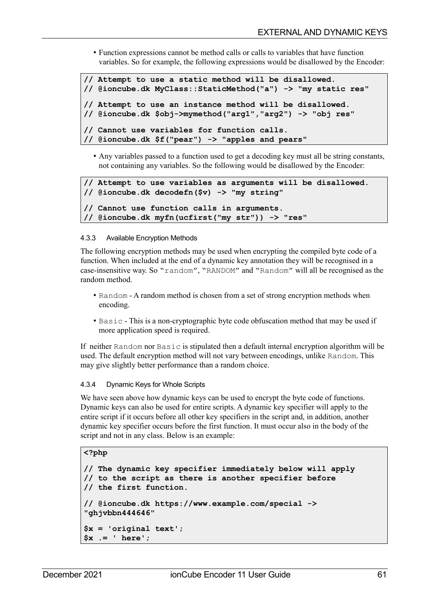• Function expressions cannot be method calls or calls to variables that have function variables. So for example, the following expressions would be disallowed by the Encoder:

```
// Attempt to use a static method will be disallowed.
// @ioncube.dk MyClass::StaticMethod("a") -> "my static res" 
// Attempt to use an instance method will be disallowed.
// @ioncube.dk $obj->mymethod("arg1","arg2") -> "obj res"
// Cannot use variables for function calls.
// @ioncube.dk $f("pear") -> "apples and pears"
```
• Any variables passed to a function used to get a decoding key must all be string constants, not containing any variables. So the following would be disallowed by the Encoder:

```
// Attempt to use variables as arguments will be disallowed.
// @ioncube.dk decodefn($v) -> "my string"
// Cannot use function calls in arguments.
// @ioncube.dk myfn(ucfirst("my str")) -> "res"
```
#### 4.3.3 Available Encryption Methods

The following encryption methods may be used when encrypting the compiled byte code of a function. When included at the end of a dynamic key annotation they will be recognised in a case-insensitive way. So "random", "RANDOM" and "Random" will all be recognised as the random method.

- Random A random method is chosen from a set of strong encryption methods when encoding.
- Basic This is a non-cryptographic byte code obfuscation method that may be used if more application speed is required.

If neither Random nor Basic is stipulated then a default internal encryption algorithm will be used. The default encryption method will not vary between encodings, unlike Random. This may give slightly better performance than a random choice.

### 4.3.4 Dynamic Keys for Whole Scripts

We have seen above how dynamic keys can be used to encrypt the byte code of functions. Dynamic keys can also be used for entire scripts. A dynamic key specifier will apply to the entire script if it occurs before all other key specifiers in the script and, in addition, another dynamic key specifier occurs before the first function. It must occur also in the body of the script and not in any class. Below is an example:

#### **<?php**

```
// The dynamic key specifier immediately below will apply
// to the script as there is another specifier before
// the first function.
// @ioncube.dk https://www.example.com/special -> 
"ghjvbbn444646" 
$x = 'original text';
$x .= ' here';
```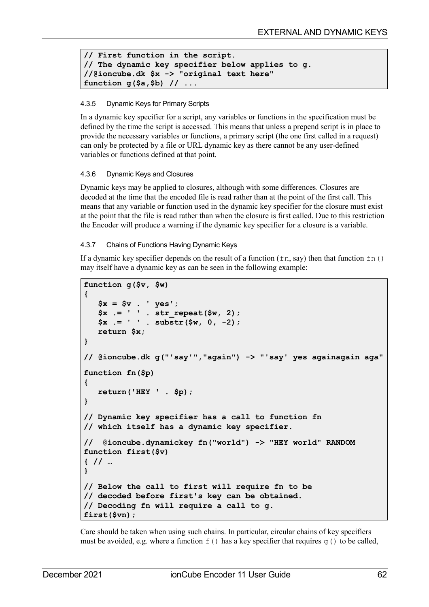```
// First function in the script. 
// The dynamic key specifier below applies to g.
//@ioncube.dk $x -> "original text here"
function g($a,$b) // ...
```
## 4.3.5 Dynamic Keys for Primary Scripts

In a dynamic key specifier for a script, any variables or functions in the specification must be defined by the time the script is accessed. This means that unless a prepend script is in place to provide the necessary variables or functions, a primary script (the one first called in a request) can only be protected by a file or URL dynamic key as there cannot be any user-defined variables or functions defined at that point.

### 4.3.6 Dynamic Keys and Closures

Dynamic keys may be applied to closures, although with some differences. Closures are decoded at the time that the encoded file is read rather than at the point of the first call. This means that any variable or function used in the dynamic key specifier for the closure must exist at the point that the file is read rather than when the closure is first called. Due to this restriction the Encoder will produce a warning if the dynamic key specifier for a closure is a variable.

## 4.3.7 Chains of Functions Having Dynamic Keys

If a dynamic key specifier depends on the result of a function  $(\text{fn}, \text{say})$  then that function  $\text{fn}()$ may itself have a dynamic key as can be seen in the following example:

```
function g($v, $w)
{
    $x = $v . ' yes';
    $x .= ' ' . str_repeat($w, 2);
    $x .= ' ' . substr($w, 0, -2);
    return $x;
}
// @ioncube.dk g("'say'","again") -> "'say' yes againagain aga"
function fn($p)
{
    return('HEY ' . $p);
}
// Dynamic key specifier has a call to function fn
// which itself has a dynamic key specifier.
// @ioncube.dynamickey fn("world") -> "HEY world" RANDOM
function first($v)
{ // …
}
// Below the call to first will require fn to be 
// decoded before first's key can be obtained. 
// Decoding fn will require a call to g.
first($vn);
```
Care should be taken when using such chains. In particular, circular chains of key specifiers must be avoided, e.g. where a function  $f(t)$  has a key specifier that requires q() to be called,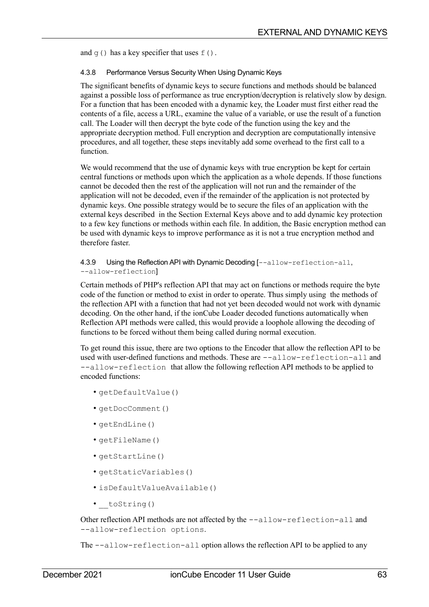and  $g(t)$  has a key specifier that uses  $f(t)$ .

## 4.3.8 Performance Versus Security When Using Dynamic Keys

The significant benefits of dynamic keys to secure functions and methods should be balanced against a possible loss of performance as true encryption/decryption is relatively slow by design. For a function that has been encoded with a dynamic key, the Loader must first either read the contents of a file, access a URL, examine the value of a variable, or use the result of a function call. The Loader will then decrypt the byte code of the function using the key and the appropriate decryption method. Full encryption and decryption are computationally intensive procedures, and all together, these steps inevitably add some overhead to the first call to a function.

We would recommend that the use of dynamic keys with true encryption be kept for certain central functions or methods upon which the application as a whole depends. If those functions cannot be decoded then the rest of the application will not run and the remainder of the application will not be decoded, even if the remainder of the application is not protected by dynamic keys. One possible strategy would be to secure the files of an application with the external keys described in the Section [External Keys](#page-52-0) [above](#page-52-0) and to add dynamic key protection to a few key functions or methods within each file. In addition, the Basic encryption method can be used with dynamic keys to improve performance as it is not a true encryption method and therefore faster.

## 4.3.9 Using the Reflection API with Dynamic Decoding [--allow-reflection-all, --allow-reflection]

Certain methods of PHP's reflection API that may act on functions or methods require the byte code of the function or method to exist in order to operate. Thus simply using the methods of the reflection API with a function that had not yet been decoded would not work with dynamic decoding. On the other hand, if the ionCube Loader decoded functions automatically when Reflection API methods were called, this would provide a loophole allowing the decoding of functions to be forced without them being called during normal execution.

To get round this issue, there are two options to the Encoder that allow the reflection API to be used with user-defined functions and methods. These are --allow-reflection-all and --allow-reflection that allow the following reflection API methods to be applied to encoded functions:

- getDefaultValue()
- getDocComment()
- getEndLine()
- getFileName()
- getStartLine()
- getStaticVariables()
- isDefaultValueAvailable()
- toString()

Other reflection API methods are not affected by the --allow-reflection-all and --allow-reflection options.

The --allow-reflection-all option allows the reflection API to be applied to any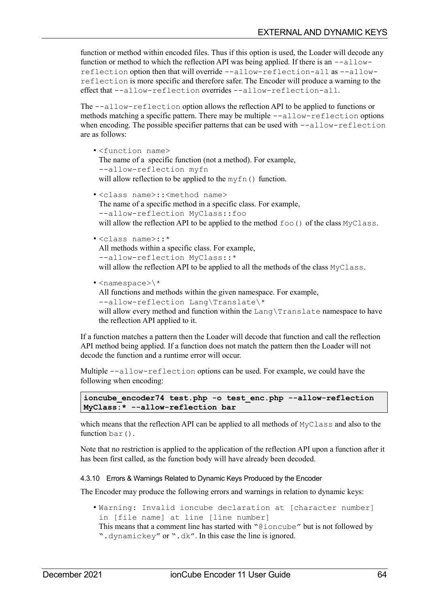function or method within encoded files. Thus if this option is used, the Loader will decode any function or method to which the reflection API was being applied. If there is an  $-\text{allow}$ reflection option then that will override --allow-reflection-all as --allowreflection is more specific and therefore safer. The Encoder will produce a warning to the effect that --allow-reflection overrides --allow-reflection-all.

The --allow-reflection option allows the reflection API to be applied to functions or methods matching a specific pattern. There may be multiple --allow-reflection options when encoding. The possible specifier patterns that can be used with  $--allow-reflection$ are as follows:

- <function name> The name of a specific function (not a method). For example, --allow-reflection myfn will allow reflection to be applied to the myfn() function.
- <class name>::<method name> The name of a specific method in a specific class. For example, --allow-reflection MyClass::foo will allow the reflection API to be applied to the method  $f \circ \circ$  () of the class MyClass.
- <class name>::\* All methods within a specific class. For example, --allow-reflection MyClass::\* will allow the reflection API to be applied to all the methods of the class MyClass.
- $\cdot$  <namespace>\\* All functions and methods within the given namespace. For example, --allow-reflection Lang\Translate\\* will allow every method and function within the Lang\Translate namespace to have the reflection API applied to it.

If a function matches a pattern then the Loader will decode that function and call the reflection API method being applied. If a function does not match the pattern then the Loader will not decode the function and a runtime error will occur.

Multiple --allow-reflection options can be used. For example, we could have the following when encoding:

```
ioncube_encoder74 test.php -o test_enc.php --allow-reflection 
MyClass:* --allow-reflection bar
```
which means that the reflection API can be applied to all methods of MyClass and also to the function bar().

Note that no restriction is applied to the application of the reflection API upon a function after it has been first called, as the function body will have already been decoded.

4.3.10 Errors & Warnings Related to Dynamic Keys Produced by the Encoder

The Encoder may produce the following errors and warnings in relation to dynamic keys:

- Warning: Invalid ioncube declaration at [character number] in [file name] at line [line number]
	- This means that a comment line has started with "@ioncube" but is not followed by ".dynamickey" or ".dk". In this case the line is ignored.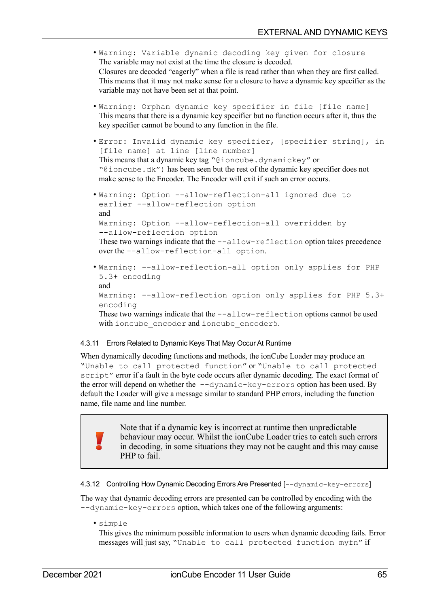- Warning: Variable dynamic decoding key given for closure The variable may not exist at the time the closure is decoded. Closures are decoded "eagerly" when a file is read rather than when they are first called. This means that it may not make sense for a closure to have a dynamic key specifier as the variable may not have been set at that point.
- Warning: Orphan dynamic key specifier in file [file name] This means that there is a dynamic key specifier but no function occurs after it, thus the key specifier cannot be bound to any function in the file.
- Error: Invalid dynamic key specifier, [specifier string], in [file name] at line [line number] This means that a dynamic key tag "@ioncube.dynamickey" or "@ioncube.dk") has been seen but the rest of the dynamic key specifier does not make sense to the Encoder. The Encoder will exit if such an error occurs.
- Warning: Option --allow-reflection-all ignored due to earlier --allow-reflection option and Warning: Option --allow-reflection-all overridden by --allow-reflection option These two warnings indicate that the --allow-reflection option takes precedence over the --allow-reflection-all option.
- Warning: --allow-reflection-all option only applies for PHP 5.3+ encoding and Warning: --allow-reflection option only applies for PHP 5.3+ encoding These two warnings indicate that the  $-\text{allow-reflection}$  options cannot be used with ioncube encoder and ioncube encoder5.

### 4.3.11 Errors Related to Dynamic Keys That May Occur At Runtime

When dynamically decoding functions and methods, the ionCube Loader may produce an "Unable to call protected function" or "Unable to call protected script" error if a fault in the byte code occurs after dynamic decoding. The exact format of the error will depend on whether the  $-dynamic-key-errors$  option has been used. By default the Loader will give a message similar to standard PHP errors, including the function name, file name and line number.

> Note that if a dynamic key is incorrect at runtime then unpredictable behaviour may occur. Whilst the ionCube Loader tries to catch such errors in decoding, in some situations they may not be caught and this may cause PHP to fail.

<span id="page-64-0"></span>4.3.12 Controlling How Dynamic Decoding Errors Are Presented [--dynamic-key-errors]

The way that dynamic decoding errors are presented can be controlled by encoding with the --dynamic-key-errors option, which takes one of the following arguments:

• simple

This gives the minimum possible information to users when dynamic decoding fails. Error messages will just say, "Unable to call protected function myfn" if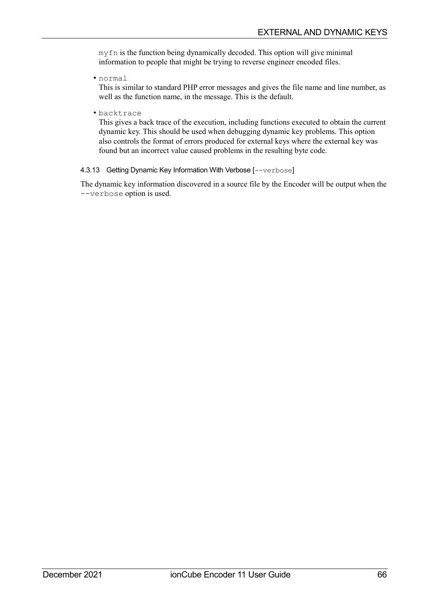myfn is the function being dynamically decoded. This option will give minimal information to people that might be trying to reverse engineer encoded files.

• normal

This is similar to standard PHP error messages and gives the file name and line number, as well as the function name, in the message. This is the default.

• backtrace

This gives a back trace of the execution, including functions executed to obtain the current dynamic key. This should be used when debugging dynamic key problems. This option also controls the format of errors produced for external keys where the external key was found but an incorrect value caused problems in the resulting byte code.

### 4.3.13 Getting Dynamic Key Information With Verbose [--verbose]

The dynamic key information discovered in a source file by the Encoder will be output when the --verbose option is used.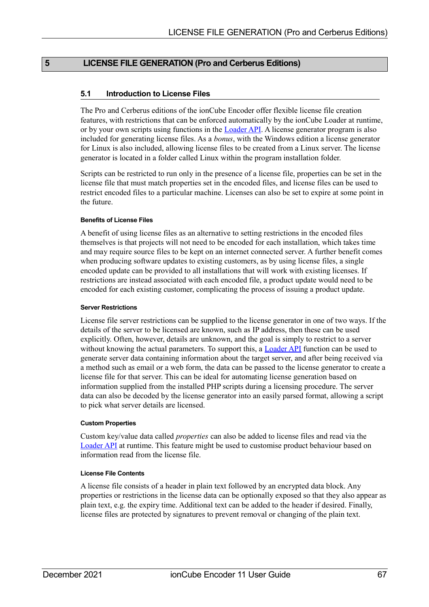## **5 LICENSE FILE GENERATION (Pro and Cerberus Editions)**

## **5.1 Introduction to License Files**

The Pro and Cerberus editions of the ionCube Encoder offer flexible license file creation features, with restrictions that can be enforced automatically by the ionCube Loader at runtime, or by your own scripts using functions in the **Loader API**. A license generator program is also included for generating license files. As a *bonus*, with the Windows edition a license generator for Linux is also included, allowing license files to be created from a Linux server. The license generator is located in a folder called Linux within the program installation folder.

Scripts can be restricted to run only in the presence of a license file, properties can be set in the license file that must match properties set in the encoded files, and license files can be used to restrict encoded files to a particular machine. Licenses can also be set to expire at some point in the future.

#### **Benefits of License Files**

A benefit of using license files as an alternative to setting restrictions in the encoded files themselves is that projects will not need to be encoded for each installation, which takes time and may require source files to be kept on an internet connected server. A further benefit comes when producing software updates to existing customers, as by using license files, a single encoded update can be provided to all installations that will work with existing licenses. If restrictions are instead associated with each encoded file, a product update would need to be encoded for each existing customer, complicating the process of issuing a product update.

#### **Server Restrictions**

License file server restrictions can be supplied to the license generator in one of two ways. If the details of the server to be licensed are known, such as IP address, then these can be used explicitly. Often, however, details are unknown, and the goal is simply to restrict to a server without knowing the actual parameters. To support this, a [Loader API](#page-74-0) function can be used to generate server data containing information about the target server, and after being received via a method such as email or a web form, the data can be passed to the license generator to create a license file for that server. This can be ideal for automating license generation based on information supplied from the installed PHP scripts during a licensing procedure. The server data can also be decoded by the license generator into an easily parsed format, allowing a script to pick what server details are licensed.

#### **Custom Properties**

Custom key/value data called *properties* can also be added to license files and read via the [Loader API](#page-74-0) at runtime. This feature might be used to customise product behaviour based on information read from the license file.

### **License File Contents**

A license file consists of a header in plain text followed by an encrypted data block. Any properties or restrictions in the license data can be optionally exposed so that they also appear as plain text, e.g. the expiry time. Additional text can be added to the header if desired. Finally, license files are protected by signatures to prevent removal or changing of the plain text.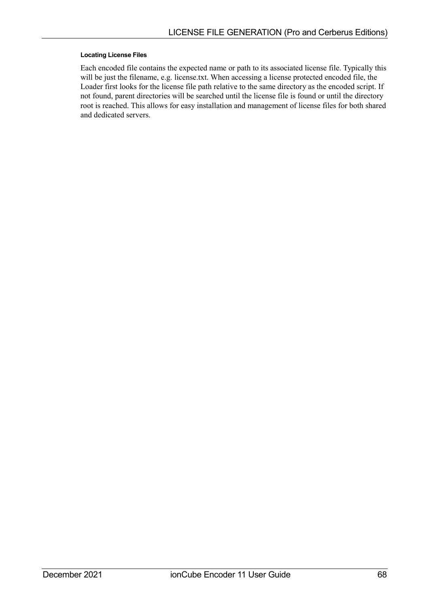#### **Locating License Files**

Each encoded file contains the expected name or path to its associated license file. Typically this will be just the filename, e.g. license.txt. When accessing a license protected encoded file, the Loader first looks for the license file path relative to the same directory as the encoded script. If not found, parent directories will be searched until the license file is found or until the directory root is reached. This allows for easy installation and management of license files for both shared and dedicated servers.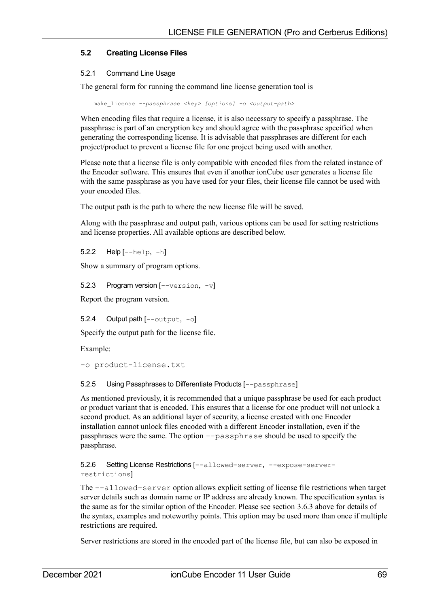## <span id="page-68-0"></span>**5.2 Creating License Files**

#### 5.2.1 Command Line Usage

The general form for running the command line license generation tool is

make\_license *--passphrase <key> [options] -o <output-path>* 

When encoding files that require a license, it is also necessary to specify a passphrase. The passphrase is part of an encryption key and should agree with the passphrase specified when generating the corresponding license. It is advisable that passphrases are different for each project/product to prevent a license file for one project being used with another.

Please note that a license file is only compatible with encoded files from the related instance of the Encoder software. This ensures that even if another ionCube user generates a license file with the same passphrase as you have used for your files, their license file cannot be used with your encoded files.

The output path is the path to where the new license file will be saved.

Along with the passphrase and output path, various options can be used for setting restrictions and license properties. All available options are described below.

5.2.2 Help [--help, -h]

Show a summary of program options.

5.2.3 Program version [--version, -v]

Report the program version.

5.2.4 Output path [--output, -o]

Specify the output path for the license file.

Example:

-o product-license.txt

#### 5.2.5 Using Passphrases to Differentiate Products [--passphrase]

As mentioned previously, it is recommended that a unique passphrase be used for each product or product variant that is encoded. This ensures that a license for one product will not unlock a second product. As an additional layer of security, a license created with one Encoder installation cannot unlock files encoded with a different Encoder installation, even if the passphrases were the same. The option --passphrase should be used to specify the passphrase.

5.2.6 Setting License Restrictions [--allowed-server, --expose-serverrestrictions]

The --allowed-server option allows explicit setting of license file restrictions when target server details such as domain name or IP address are already known. The specification syntax is the same as for the similar option of the Encoder. Please see section [3.6.3](#page-31-0) [above](#page-31-0) for details of the syntax, examples and noteworthy points. This option may be used more than once if multiple restrictions are required.

Server restrictions are stored in the encoded part of the license file, but can also be exposed in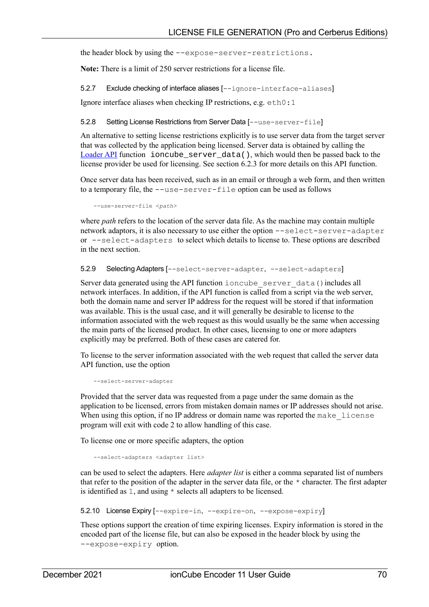the header block by using the --expose-server-restrictions.

**Note:** There is a limit of 250 server restrictions for a license file.

5.2.7 Exclude checking of interface aliases [--ignore-interface-aliases]

Ignore interface aliases when checking IP restrictions, e.g. eth0:1

5.2.8 Setting License Restrictions from Server Data [--use-server-file]

An alternative to setting license restrictions explicitly is to use server data from the target server that was collected by the application being licensed. Server data is obtained by calling the [Loader API](#page-74-0) function ioncube  $s$ erver  $data($ ), which would then be passed back to the license provider be used for licensing. See section [6.2.3](#page-75-0) for more details on this API function.

Once server data has been received, such as in an email or through a web form, and then written to a temporary file, the --use-server-file option can be used as follows

--use-server-file <*path>*

where *path* refers to the location of the server data file. As the machine may contain multiple network adaptors, it is also necessary to use either the option --select-server-adapter or --select-adapters to select which details to license to. These options are described in the next section.

5.2.9 Selecting Adapters [--select-server-adapter, --select-adapters]

Server data generated using the API function ioncube server data() includes all network interfaces. In addition, if the API function is called from a script via the web server, both the domain name and server IP address for the request will be stored if that information was available. This is the usual case, and it will generally be desirable to license to the information associated with the web request as this would usually be the same when accessing the main parts of the licensed product. In other cases, licensing to one or more adapters explicitly may be preferred. Both of these cases are catered for.

To license to the server information associated with the web request that called the server data API function, use the option

--select-server-adapter

Provided that the server data was requested from a page under the same domain as the application to be licensed, errors from mistaken domain names or IP addresses should not arise. When using this option, if no IP address or domain name was reported the make license program will exit with code 2 to allow handling of this case.

To license one or more specific adapters, the option

--select-adapters <adapter list>

can be used to select the adapters. Here *adapter list* is either a comma separated list of numbers that refer to the position of the adapter in the server data file, or the \* character. The first adapter is identified as 1, and using \* selects all adapters to be licensed.

5.2.10 License Expiry [--expire-in, --expire-on, --expose-expiry]

These options support the creation of time expiring licenses. Expiry information is stored in the encoded part of the license file, but can also be exposed in the header block by using the --expose-expiry option.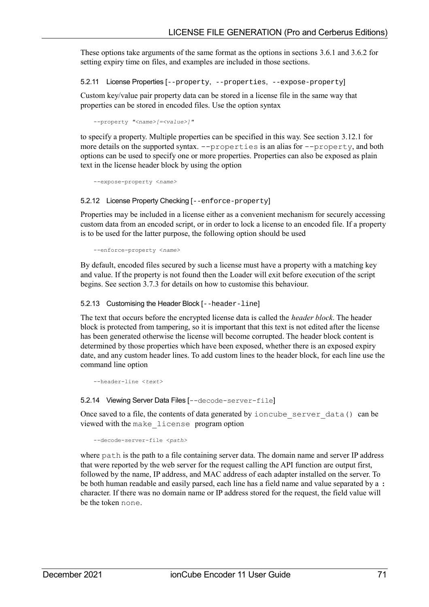These options take arguments of the same format as the options in sections [3.6.1](#page-31-2) and [3.6.2](#page-31-1) for setting expiry time on files, and examples are included in those sections.

5.2.11 License Properties [--property, --properties, --expose-property]

Custom key/value pair property data can be stored in a license file in the same way that properties can be stored in encoded files. Use the option syntax

--property *"<name>[=<value>]"*

to specify a property. Multiple properties can be specified in this way. See section [3.12.1](#page-44-0) for more details on the supported syntax. --properties is an alias for --property, and both options can be used to specify one or more properties. Properties can also be exposed as plain text in the license header block by using the option

<span id="page-70-0"></span>--expose-property <*name>*

5.2.12 License Property Checking [--enforce-property]

Properties may be included in a license either as a convenient mechanism for securely accessing custom data from an encoded script, or in order to lock a license to an encoded file. If a property is to be used for the latter purpose, the following option should be used

--enforce-property <*name>*

By default, encoded files secured by such a license must have a property with a matching key and value. If the property is not found then the Loader will exit before execution of the script begins. See section [3.7.3](#page-36-0) for details on how to customise this behaviour.

#### 5.2.13 Customising the Header Block [--header-line]

The text that occurs before the encrypted license data is called the *header block*. The header block is protected from tampering, so it is important that this text is not edited after the license has been generated otherwise the license will become corrupted. The header block content is determined by those properties which have been exposed, whether there is an exposed expiry date, and any custom header lines. To add custom lines to the header block, for each line use the command line option

```
--header-line <text>
```
5.2.14 Viewing Server Data Files [--decode-server-file]

Once saved to a file, the contents of data generated by ioncube server data() can be viewed with the make\_license program option

--decode-server-file <*path>*

where path is the path to a file containing server data. The domain name and server IP address that were reported by the web server for the request calling the API function are output first, followed by the name, IP address, and MAC address of each adapter installed on the server. To be both human readable and easily parsed, each line has a field name and value separated by a : character. If there was no domain name or IP address stored for the request, the field value will be the token none.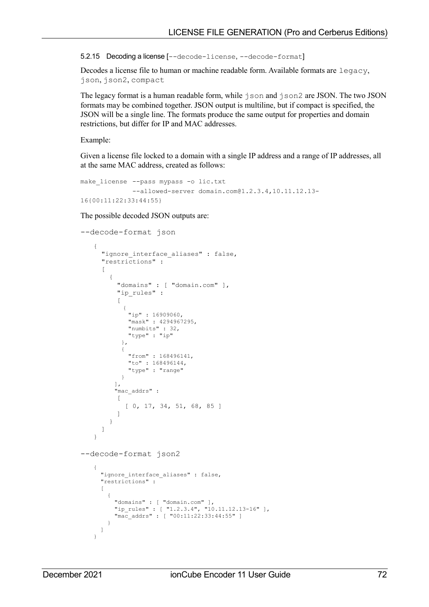5.2.15 Decoding a license [--decode-license, --decode-format]

Decodes a license file to human or machine readable form. Available formats are legacy, json, json2, compact

The legacy format is a human readable form, while json and json2 are JSON. The two JSON formats may be combined together. JSON output is multiline, but if compact is specified, the JSON will be a single line. The formats produce the same output for properties and domain restrictions, but differ for IP and MAC addresses.

Example:

Given a license file locked to a domain with a single IP address and a range of IP addresses, all at the same MAC address, created as follows:

```
make license --pass mypass -o lic.txt
             --allowed-server domain.com@1.2.3.4,10.11.12.13-
16{00:11:22:33:44:55}
```
The possible decoded JSON outputs are:

```
--decode-format json
    {
       "ignore_interface_aliases" : false,
       "restrictions" :
      \sqrt{2} {
           "domains" : [ "domain.com" ],
           "ip_rules" :
           [
             {
     "ip" : 16909060,
     "mask" : 4294967295,
               "numbits" : 32,
               "type" : "ip"
             },
             {
              "from" : 168496141,
              "to" : 168496144,
               "type" : "range"
            }
           ],
           "mac_addrs" :
          \lceil [ 0, 17, 34, 51, 68, 85 ]
           ]
         }
       ]
    }
--decode-format json2
    {
      "ignore interface aliases" : false,
       "restrictions" :
      \overline{[} {
     "domains" : [ "domain.com" ],
     "ip_rules" : [ "1.2.3.4", "10.11.12.13-16" ],
     "mac_addrs" : [ "00:11:22:33:44:55" ]
        }
      ]
    }
```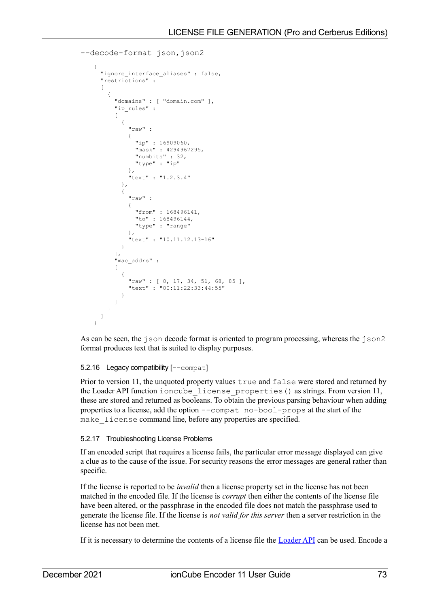```
--decode-format ison, ison2
{
   "ignore_interface_aliases" : false,
   "restrictions" :
  \sqrt{ } {
       "domains" : [ "domain.com" ],
       "ip_rules" :
      \mathbf{r} {
           "raw" :
{
 "ip" : 16909060,
 "mask" : 4294967295,
              "numbits" : 32,
              "type" : "ip"
           },
            "text" : "1.2.3.4"
         },
\left\{ \begin{array}{cc} 0 & 0 \\ 0 & 0 \end{array} \right\} "raw" :
            {
             "from" : 168496141,
"to" : 168496144,
 "type" : "range"
           },
            "text" : "10.11.12.13-16"
 }
       ],
       "mac_addrs" :
      \Gamma {
           "raw" : [ 0, 17, 34, 51, 68, 85 ],
            "text" : "00:11:22:33:44:55"
 }
       ]
     }
   ]
}
```
As can be seen, the  $\dot{\tau}$  son decode format is oriented to program processing, whereas the  $\dot{\tau}$  son 2 format produces text that is suited to display purposes.

# 5.2.16 Legacy compatibility [--compat]

Prior to version 11, the unquoted property values true and false were stored and returned by the Loader API function ioncube\_license\_properties() as strings. From version 11, these are stored and returned as booleans. To obtain the previous parsing behaviour when adding properties to a license, add the option --compat no-bool-props at the start of the make license command line, before any properties are specified.

# 5.2.17 Troubleshooting License Problems

If an encoded script that requires a license fails, the particular error message displayed can give a clue as to the cause of the issue. For security reasons the error messages are general rather than specific.

If the license is reported to be *invalid* then a license property set in the license has not been matched in the encoded file. If the license is *corrupt* then either the contents of the license file have been altered, or the passphrase in the encoded file does not match the passphrase used to generate the license file. If the license is *not valid for this server* then a server restriction in the license has not been met.

If it is necessary to determine the contents of a license file the [Loader API](#page-74-0) can be used. Encode a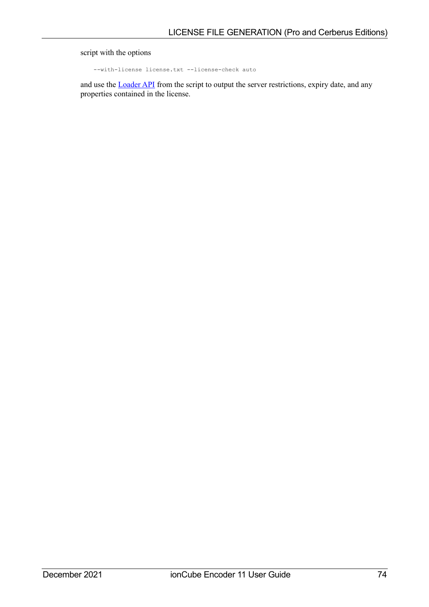## script with the options

--with-license license.txt --license-check auto

and use the **Loader API** from the script to output the server restrictions, expiry date, and any properties contained in the license.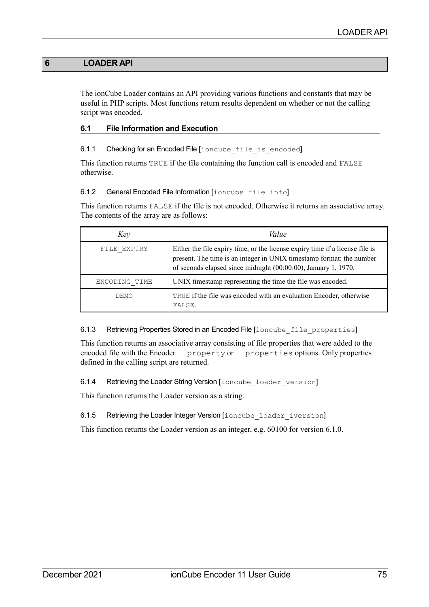# **6 LOADER API**

<span id="page-74-0"></span>The ionCube Loader contains an API providing various functions and constants that may be useful in PHP scripts. Most functions return results dependent on whether or not the calling script was encoded.

## **6.1 File Information and Execution**

## 6.1.1 Checking for an Encoded File [ioncube file is encoded]

This function returns TRUE if the file containing the function call is encoded and FALSE otherwise.

#### 6.1.2 General Encoded File Information [ioncube file info]

This function returns FALSE if the file is not encoded. Otherwise it returns an associative array. The contents of the array are as follows:

| Key           | Value                                                                                                                                                                                                                  |  |
|---------------|------------------------------------------------------------------------------------------------------------------------------------------------------------------------------------------------------------------------|--|
| FILE EXPIRY   | Either the file expiry time, or the license expiry time if a license file is<br>present. The time is an integer in UNIX timestamp format: the number<br>of seconds elapsed since midnight (00:00:00), January 1, 1970. |  |
| ENCODING TIME | UNIX timestamp representing the time the file was encoded.                                                                                                                                                             |  |
| DEMO          | TRUE if the file was encoded with an evaluation Encoder, otherwise<br>FALSE.                                                                                                                                           |  |

6.1.3 Retrieving Properties Stored in an Encoded File [ioncube file properties]

This function returns an associative array consisting of file properties that were added to the encoded file with the Encoder --property or --properties options. Only properties defined in the calling script are returned.

6.1.4 Retrieving the Loader String Version [ioncube loader version]

This function returns the Loader version as a string.

6.1.5 Retrieving the Loader Integer Version [ioncube loader iversion]

This function returns the Loader version as an integer, e.g. 60100 for version 6.1.0.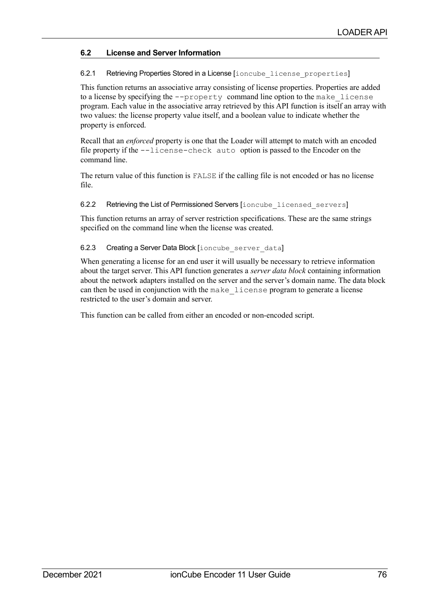# **6.2 License and Server Information**

## 6.2.1 Retrieving Properties Stored in a License [ioncube license properties]

This function returns an associative array consisting of license properties. Properties are added to a license by specifying the --property command line option to the make\_license program. Each value in the associative array retrieved by this API function is itself an array with two values: the license property value itself, and a boolean value to indicate whether the property is enforced.

Recall that an *enforced* property is one that the Loader will attempt to match with an encoded file property if the --license-check auto option is passed to the Encoder on the command line.

The return value of this function is FALSE if the calling file is not encoded or has no license file.

### 6.2.2 Retrieving the List of Permissioned Servers [ioncube licensed servers]

This function returns an array of server restriction specifications. These are the same strings specified on the command line when the license was created.

## 6.2.3 Creating a Server Data Block [ioncube server data]

When generating a license for an end user it will usually be necessary to retrieve information about the target server. This API function generates a *server data block* containing information about the network adapters installed on the server and the server's domain name. The data block can then be used in conjunction with the make\_license program to generate a license restricted to the user's domain and server.

This function can be called from either an encoded or non-encoded script.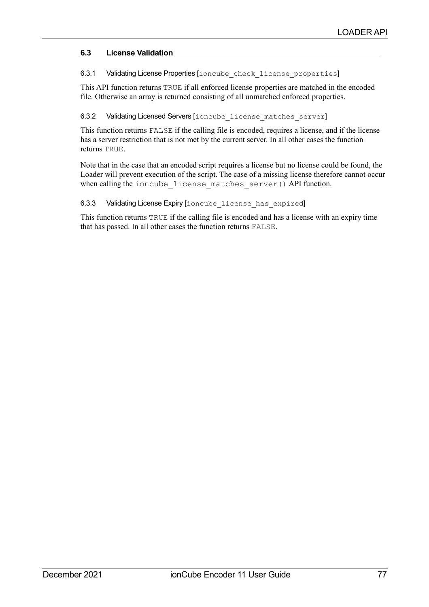# **6.3 License Validation**

6.3.1 Validating License Properties [ioncube\_check\_license\_properties]

This API function returns TRUE if all enforced license properties are matched in the encoded file. Otherwise an array is returned consisting of all unmatched enforced properties.

6.3.2 Validating Licensed Servers [ioncube\_license\_matches\_server]

This function returns FALSE if the calling file is encoded, requires a license, and if the license has a server restriction that is not met by the current server. In all other cases the function returns TRUE.

Note that in the case that an encoded script requires a license but no license could be found, the Loader will prevent execution of the script. The case of a missing license therefore cannot occur when calling the ioncube license matches server() API function.

## 6.3.3 Validating License Expiry [ioncube license has expired]

This function returns TRUE if the calling file is encoded and has a license with an expiry time that has passed. In all other cases the function returns FALSE.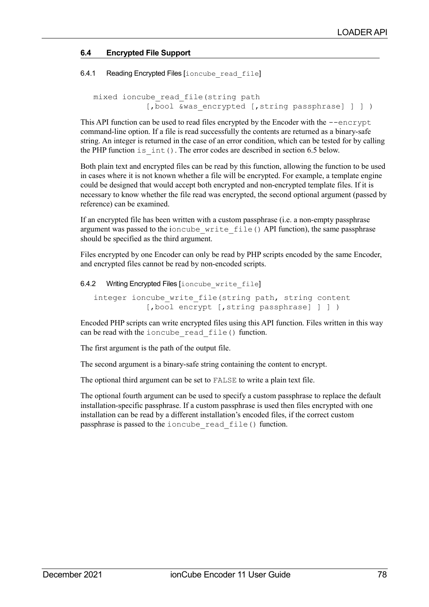# **6.4 Encrypted File Support**

6.4.1 Reading Encrypted Files [ioncube read file]

```
mixed ioncube_read_file(string path 
       [, bool &was encrypted [, string passphrase] ] ] )
```
This API function can be used to read files encrypted by the Encoder with the --encrypt command-line option. If a file is read successfully the contents are returned as a binary-safe string. An integer is returned in the case of an error condition, which can be tested for by calling the PHP function is int(). The error codes are described in section [6.5](#page-78-0) [below.](#page-78-0)

Both plain text and encrypted files can be read by this function, allowing the function to be used in cases where it is not known whether a file will be encrypted. For example, a template engine could be designed that would accept both encrypted and non-encrypted template files. If it is necessary to know whether the file read was encrypted, the second optional argument (passed by reference) can be examined.

If an encrypted file has been written with a custom passphrase (i.e. a non-empty passphrase argument was passed to the ioncube\_write\_file() API function), the same passphrase should be specified as the third argument.

Files encrypted by one Encoder can only be read by PHP scripts encoded by the same Encoder, and encrypted files cannot be read by non-encoded scripts.

6.4.2 Writing Encrypted Files [ioncube\_write\_file]

```
integer ioncube write file(string path, string content
       [, bool encrypt [, string passphrase] ] ] )
```
Encoded PHP scripts can write encrypted files using this API function. Files written in this way can be read with the ioncube read file() function.

The first argument is the path of the output file.

The second argument is a binary-safe string containing the content to encrypt.

The optional third argument can be set to FALSE to write a plain text file.

The optional fourth argument can be used to specify a custom passphrase to replace the default installation-specific passphrase. If a custom passphrase is used then files encrypted with one installation can be read by a different installation's encoded files, if the correct custom passphrase is passed to the ioncube\_read\_file() function.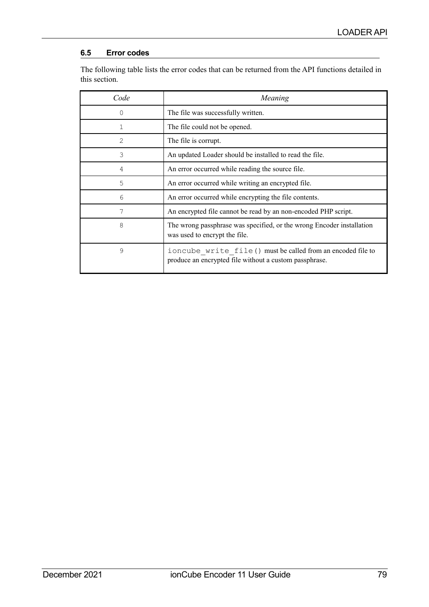# <span id="page-78-0"></span>**6.5 Error codes**

The following table lists the error codes that can be returned from the API functions detailed in this section.

| Code     | Meaning                                                                                                               |  |
|----------|-----------------------------------------------------------------------------------------------------------------------|--|
| $\Omega$ | The file was successfully written.                                                                                    |  |
| 1        | The file could not be opened.                                                                                         |  |
| 2        | The file is corrupt.                                                                                                  |  |
| 3        | An updated Loader should be installed to read the file.                                                               |  |
| 4        | An error occurred while reading the source file.                                                                      |  |
| 5        | An error occurred while writing an encrypted file.                                                                    |  |
| 6        | An error occurred while encrypting the file contents.                                                                 |  |
| 7        | An encrypted file cannot be read by an non-encoded PHP script.                                                        |  |
| 8        | The wrong passphrase was specified, or the wrong Encoder installation<br>was used to encrypt the file.                |  |
| 9        | ioncube write file() must be called from an encoded file to<br>produce an encrypted file without a custom passphrase. |  |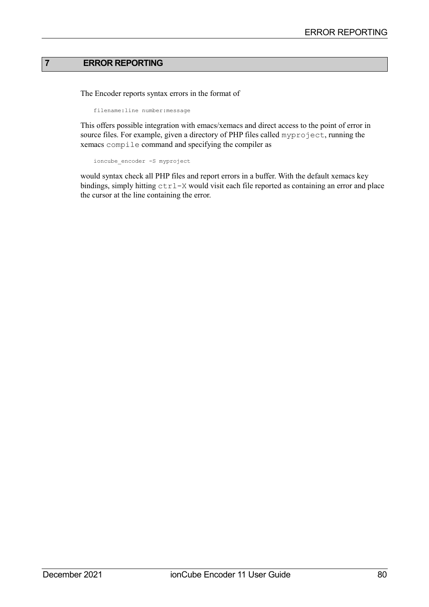## **7 ERROR REPORTING**

The Encoder reports syntax errors in the format of

filename:line number:message

This offers possible integration with emacs/xemacs and direct access to the point of error in source files. For example, given a directory of PHP files called myproject, running the xemacs compile command and specifying the compiler as

```
ioncube_encoder -S myproject
```
would syntax check all PHP files and report errors in a buffer. With the default xemacs key bindings, simply hitting  $ctrl - X$  would visit each file reported as containing an error and place the cursor at the line containing the error.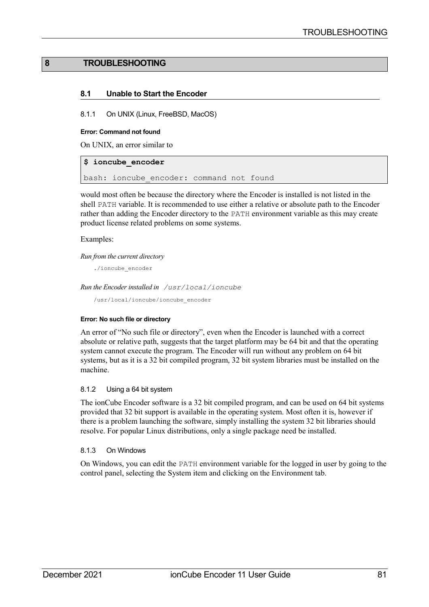## **8 TROUBLESHOOTING**

### **8.1 Unable to Start the Encoder**

8.1.1 On UNIX (Linux, FreeBSD, MacOS)

#### **Error: Command not found**

On UNIX, an error similar to

### **\$ ioncube\_encoder**

bash: ioncube encoder: command not found

would most often be because the directory where the Encoder is installed is not listed in the shell PATH variable. It is recommended to use either a relative or absolute path to the Encoder rather than adding the Encoder directory to the PATH environment variable as this may create product license related problems on some systems.

#### Examples:

*Run from the current directory*

./ioncube\_encoder

*Run the Encoder installed in /usr/local/ioncube*

/usr/local/ioncube/ioncube\_encoder

#### **Error: No such file or directory**

An error of "No such file or directory", even when the Encoder is launched with a correct absolute or relative path, suggests that the target platform may be 64 bit and that the operating system cannot execute the program. The Encoder will run without any problem on 64 bit systems, but as it is a 32 bit compiled program, 32 bit system libraries must be installed on the machine.

### 8.1.2 Using a 64 bit system

The ionCube Encoder software is a 32 bit compiled program, and can be used on 64 bit systems provided that 32 bit support is available in the operating system. Most often it is, however if there is a problem launching the software, simply installing the system 32 bit libraries should resolve. For popular Linux distributions, only a single package need be installed.

#### 8.1.3 On Windows

On Windows, you can edit the PATH environment variable for the logged in user by going to the control panel, selecting the System item and clicking on the Environment tab.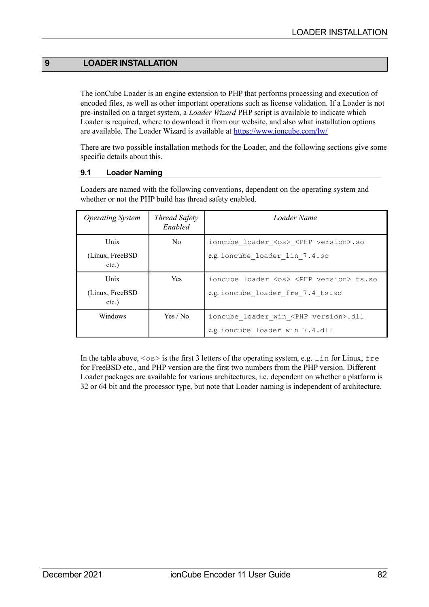# **9 LOADER INSTALLATION**

The ionCube Loader is an engine extension to PHP that performs processing and execution of encoded files, as well as other important operations such as license validation. If a Loader is not pre-installed on a target system, a *Loader Wizard* PHP script is available to indicate which Loader is required, where to download it from our website, and also what installation options are available. The Loader Wizard is available at <https://www.ioncube.com/lw/>

There are two possible installation methods for the Loader, and the following sections give some specific details about this.

# **9.1 Loader Naming**

Loaders are named with the following conventions, dependent on the operating system and whether or not the PHP build has thread safety enabled.

| <b>Operating System</b>      | Thread Safety<br>Enabled | Loader Name                                           |
|------------------------------|--------------------------|-------------------------------------------------------|
| Unix                         | No.                      | ioncube loader <os> <php version="">.so</php></os>    |
| (Linux, FreeBSD)<br>$etc.$ ) |                          | e.g. ioncube loader lin 7.4.so                        |
| Unix                         | <b>Yes</b>               | ioncube loader <os> <php version=""> ts.so</php></os> |
| (Linux, FreeBSD<br>$etc.$ )  |                          | e.g. ioncube loader fre 7.4 ts.so                     |
| Windows                      | Yes / No                 | ioncube loader win <php version="">.dll</php>         |
|                              |                          | e.g. ioncube loader win 7.4.dll                       |

In the table above,  $\langle \cos \rangle$  is the first 3 letters of the operating system, e.g. lin for Linux, free for FreeBSD etc., and PHP version are the first two numbers from the PHP version. Different Loader packages are available for various architectures, i.e. dependent on whether a platform is 32 or 64 bit and the processor type, but note that Loader naming is independent of architecture.